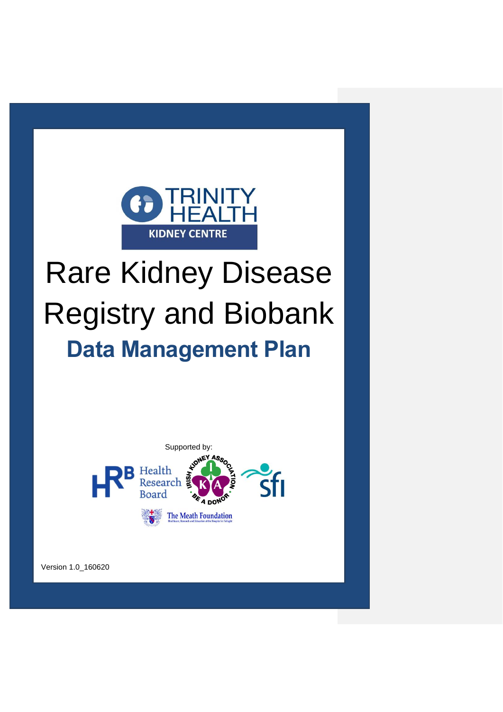

# Rare Kidney Disease Registry and Biobank **Data Management Plan**



Version 1.0\_160620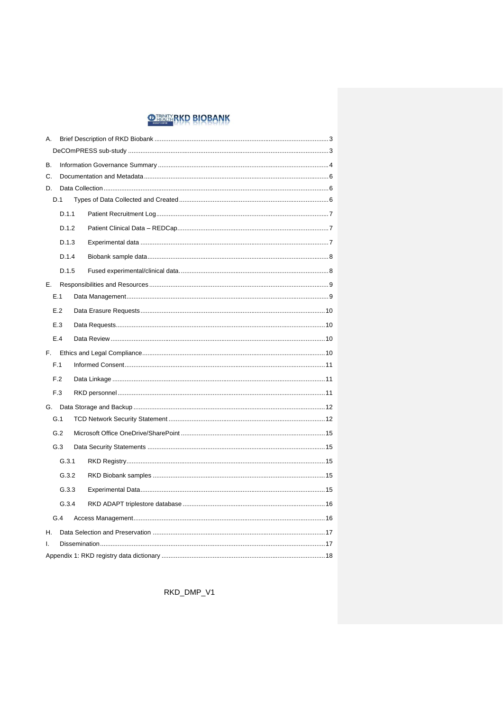# **O HEALTH RKD BIOBANK**

| А. |       |  |  |  |  |  |  |
|----|-------|--|--|--|--|--|--|
|    |       |  |  |  |  |  |  |
| В. |       |  |  |  |  |  |  |
| C. |       |  |  |  |  |  |  |
| D. |       |  |  |  |  |  |  |
|    | D.1   |  |  |  |  |  |  |
|    | D.1.1 |  |  |  |  |  |  |
|    | D.1.2 |  |  |  |  |  |  |
|    | D.1.3 |  |  |  |  |  |  |
|    | D.1.4 |  |  |  |  |  |  |
|    | D.1.5 |  |  |  |  |  |  |
| Е. |       |  |  |  |  |  |  |
|    | E.1   |  |  |  |  |  |  |
|    | E.2   |  |  |  |  |  |  |
|    | E.3   |  |  |  |  |  |  |
|    | E.4   |  |  |  |  |  |  |
| F. |       |  |  |  |  |  |  |
|    | F.1   |  |  |  |  |  |  |
|    | F.2   |  |  |  |  |  |  |
|    | F.3   |  |  |  |  |  |  |
|    |       |  |  |  |  |  |  |
|    | G.1   |  |  |  |  |  |  |
|    | G.2   |  |  |  |  |  |  |
|    | G.3   |  |  |  |  |  |  |
|    | G.3.1 |  |  |  |  |  |  |
|    | G.3.2 |  |  |  |  |  |  |
|    | G.3.3 |  |  |  |  |  |  |
|    | G.3.4 |  |  |  |  |  |  |
|    | G.4   |  |  |  |  |  |  |
| Η. |       |  |  |  |  |  |  |
| I. |       |  |  |  |  |  |  |
|    |       |  |  |  |  |  |  |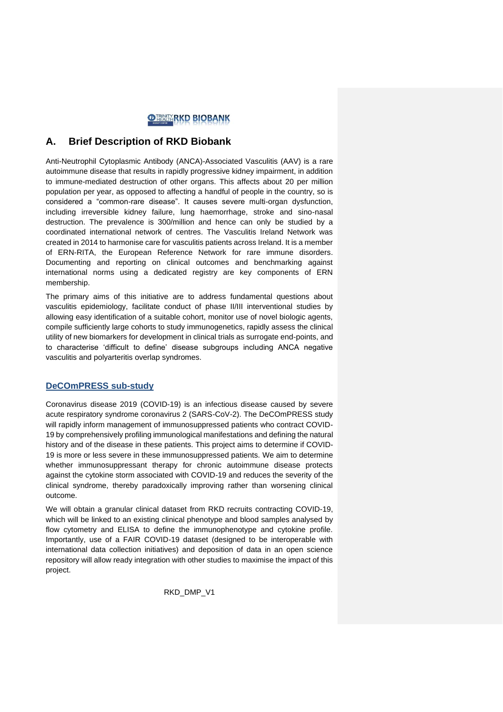

#### <span id="page-2-0"></span>**A. Brief Description of RKD Biobank**

Anti-Neutrophil Cytoplasmic Antibody (ANCA)-Associated Vasculitis (AAV) is a rare autoimmune disease that results in rapidly progressive kidney impairment, in addition to immune-mediated destruction of other organs. This affects about 20 per million population per year, as opposed to affecting a handful of people in the country, so is considered a "common-rare disease". It causes severe multi-organ dysfunction, including irreversible kidney failure, lung haemorrhage, stroke and sino-nasal destruction. The prevalence is 300/million and hence can only be studied by a coordinated international network of centres. The Vasculitis Ireland Network was created in 2014 to harmonise care for vasculitis patients across Ireland. It is a member of ERN-RITA, the European Reference Network for rare immune disorders. Documenting and reporting on clinical outcomes and benchmarking against international norms using a dedicated registry are key components of ERN membership.

The primary aims of this initiative are to address fundamental questions about vasculitis epidemiology, facilitate conduct of phase II/III interventional studies by allowing easy identification of a suitable cohort, monitor use of novel biologic agents, compile sufficiently large cohorts to study immunogenetics, rapidly assess the clinical utility of new biomarkers for development in clinical trials as surrogate end-points, and to characterise 'difficult to define' disease subgroups including ANCA negative vasculitis and polyarteritis overlap syndromes.

#### <span id="page-2-1"></span>**DeCOmPRESS sub-study**

Coronavirus disease 2019 (COVID-19) is an infectious disease caused by severe acute respiratory syndrome coronavirus 2 (SARS-CoV-2). The DeCOmPRESS study will rapidly inform management of immunosuppressed patients who contract COVID-19 by comprehensively profiling immunological manifestations and defining the natural history and of the disease in these patients. This project aims to determine if COVID-19 is more or less severe in these immunosuppressed patients. We aim to determine whether immunosuppressant therapy for chronic autoimmune disease protects against the cytokine storm associated with COVID-19 and reduces the severity of the clinical syndrome, thereby paradoxically improving rather than worsening clinical outcome.

We will obtain a granular clinical dataset from RKD recruits contracting COVID-19, which will be linked to an existing clinical phenotype and blood samples analysed by flow cytometry and ELISA to define the immunophenotype and cytokine profile. Importantly, use of a FAIR COVID-19 dataset (designed to be interoperable with international data collection initiatives) and deposition of data in an open science repository will allow ready integration with other studies to maximise the impact of this project.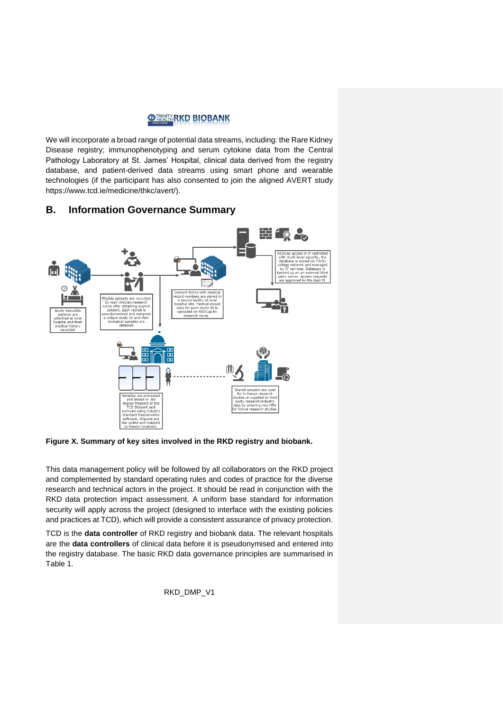

We will incorporate a broad range of potential data streams, including: the Rare Kidney Disease registry; immunophenotyping and serum cytokine data from the Central Pathology Laboratory at St. James' Hospital, clinical data derived from the registry database, and patient-derived data streams using smart phone and wearable technologies (if the participant has also consented to join the aligned AVERT study https://www.tcd.ie/medicine/thkc/avert/).

#### <span id="page-3-0"></span>**B. Information Governance Summary**



**Figure X. Summary of key sites involved in the RKD registry and biobank.** 

This data management policy will be followed by all collaborators on the RKD project and complemented by standard operating rules and codes of practice for the diverse research and technical actors in the project. It should be read in conjunction with the RKD data protection impact assessment. A uniform base standard for information security will apply across the project (designed to interface with the existing policies and practices at TCD), which will provide a consistent assurance of privacy protection.

TCD is the **data controller** of RKD registry and biobank data. The relevant hospitals are the **data controllers** of clinical data before it is pseudonymised and entered into the registry database. The basic RKD data governance principles are summarised in Table 1.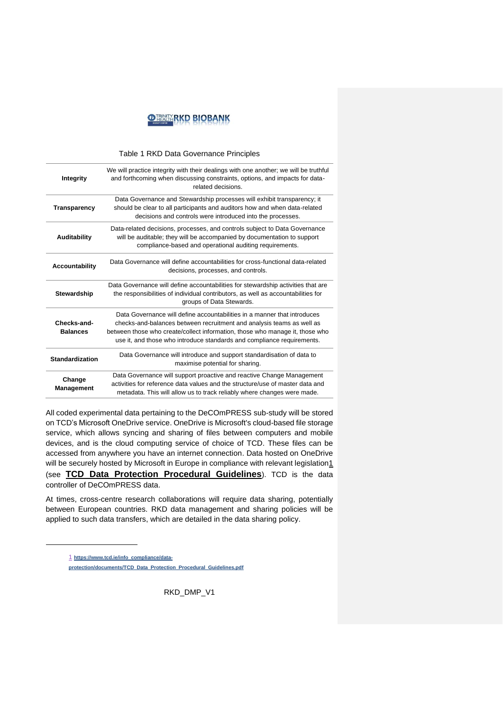

#### Table 1 RKD Data Governance Principles

| Integrity                      | We will practice integrity with their dealings with one another; we will be truthful<br>and forthcoming when discussing constraints, options, and impacts for data-<br>related decisions.                                                                                                                   |
|--------------------------------|-------------------------------------------------------------------------------------------------------------------------------------------------------------------------------------------------------------------------------------------------------------------------------------------------------------|
| Transparency                   | Data Governance and Stewardship processes will exhibit transparency; it<br>should be clear to all participants and auditors how and when data-related<br>decisions and controls were introduced into the processes.                                                                                         |
| Auditability                   | Data-related decisions, processes, and controls subject to Data Governance<br>will be auditable; they will be accompanied by documentation to support<br>compliance-based and operational auditing requirements.                                                                                            |
| <b>Accountability</b>          | Data Governance will define accountabilities for cross-functional data-related<br>decisions, processes, and controls.                                                                                                                                                                                       |
| <b>Stewardship</b>             | Data Governance will define accountabilities for stewardship activities that are<br>the responsibilities of individual contributors, as well as accountabilities for<br>groups of Data Stewards.                                                                                                            |
| Checks-and-<br><b>Balances</b> | Data Governance will define accountabilities in a manner that introduces<br>checks-and-balances between recruitment and analysis teams as well as<br>between those who create/collect information, those who manage it, those who<br>use it, and those who introduce standards and compliance requirements. |
| <b>Standardization</b>         | Data Governance will introduce and support standardisation of data to<br>maximise potential for sharing.                                                                                                                                                                                                    |
| Change<br>Management           | Data Governance will support proactive and reactive Change Management<br>activities for reference data values and the structure/use of master data and<br>metadata. This will allow us to track reliably where changes were made.                                                                           |

All coded experimental data pertaining to the DeCOmPRESS sub-study will be stored on TCD's Microsoft OneDrive service. OneDrive is Microsoft's cloud-based file storage service, which allows syncing and sharing of files between computers and mobile devices, and is the cloud computing service of choice of TCD. These files can be accessed from anywhere you have an internet connection. Data hosted on OneDrive will be securely hosted by Microsoft in Europe in compliance with relevant legislation1 (see **[TCD Data Protection Procedural Guidelines](https://www.tcd.ie/info_compliance/data-protection/documents/TCD_Data_Protection_Procedural_Guidelines.pdf)**). TCD is the data controller of DeCOmPRESS data.

At times, cross-centre research collaborations will require data sharing, potentially between European countries. RKD data management and sharing policies will be applied to such data transfers, which are detailed in the data sharing policy.

<sup>1</sup> **[https://www.tcd.ie/info\\_compliance/data](https://www.tcd.ie/info_compliance/data-protection/documents/TCD_Data_Protection_Procedural_Guidelines.pdf)[protection/documents/TCD\\_Data\\_Protection\\_Procedural\\_Guidelines.pdf](https://www.tcd.ie/info_compliance/data-protection/documents/TCD_Data_Protection_Procedural_Guidelines.pdf)**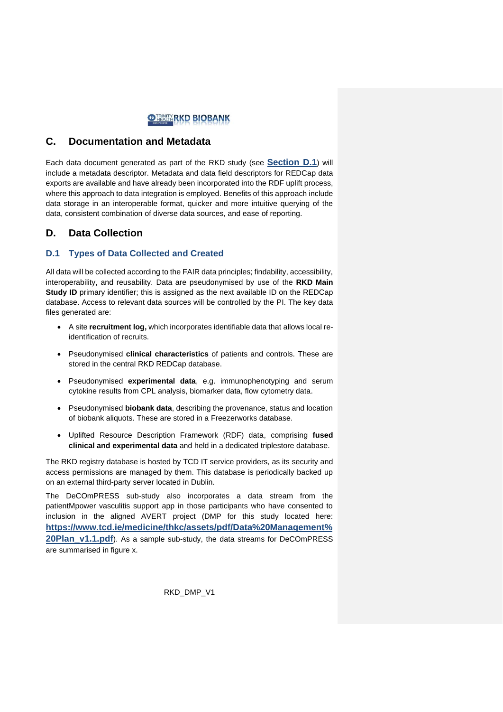

#### <span id="page-5-0"></span>**C. Documentation and Metadata**

Each data document generated as part of the RKD study (see **[Section D.1](#page-5-2)**) will include a metadata descriptor. Metadata and data field descriptors for REDCap data exports are available and have already been incorporated into the RDF uplift process, where this approach to data integration is employed. Benefits of this approach include data storage in an interoperable format, quicker and more intuitive querying of the data, consistent combination of diverse data sources, and ease of reporting.

#### <span id="page-5-1"></span>**D. Data Collection**

#### <span id="page-5-2"></span>**D.1 Types of Data Collected and Created**

All data will be collected according to the FAIR data principles; findability, accessibility, interoperability, and reusability. Data are pseudonymised by use of the **RKD Main Study ID** primary identifier; this is assigned as the next available ID on the REDCap database. Access to relevant data sources will be controlled by the PI. The key data files generated are:

- A site **recruitment log,** which incorporates identifiable data that allows local reidentification of recruits.
- Pseudonymised **clinical characteristics** of patients and controls. These are stored in the central RKD REDCap database.
- Pseudonymised **experimental data**, e.g. immunophenotyping and serum cytokine results from CPL analysis, biomarker data, flow cytometry data.
- Pseudonymised **biobank data**, describing the provenance, status and location of biobank aliquots. These are stored in a Freezerworks database.
- Uplifted Resource Description Framework (RDF) data, comprising **fused clinical and experimental data** and held in a dedicated triplestore database.

The RKD registry database is hosted by TCD IT service providers, as its security and access permissions are managed by them. This database is periodically backed up on an external third-party server located in Dublin.

The DeCOmPRESS sub-study also incorporates a data stream from the patientMpower vasculitis support app in those participants who have consented to inclusion in the aligned AVERT project (DMP for this study located here: **[https://www.tcd.ie/medicine/thkc/assets/pdf/Data%20Management%](https://www.tcd.ie/medicine/thkc/assets/pdf/Data%20Management%20Plan_v1.1.pdf) [20Plan\\_v1.1.pdf](https://www.tcd.ie/medicine/thkc/assets/pdf/Data%20Management%20Plan_v1.1.pdf)**). As a sample sub-study, the data streams for DeCOmPRESS are summarised in figure x.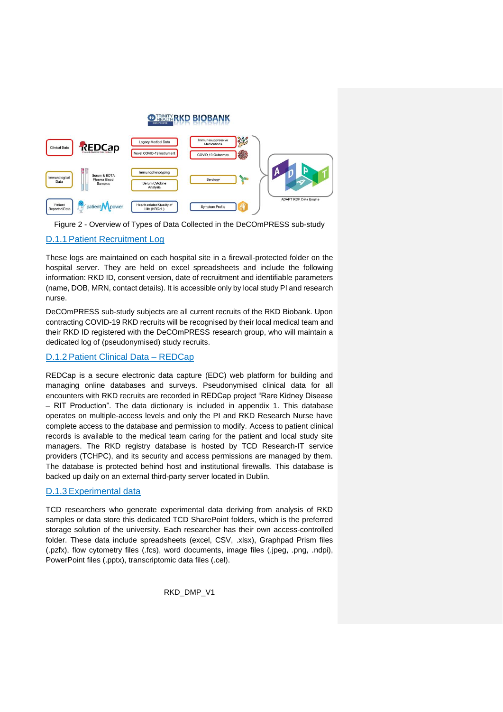

Figure 2 - Overview of Types of Data Collected in the DeCOmPRESS sub-study

#### <span id="page-6-0"></span>D.1.1 Patient Recruitment Log

These logs are maintained on each hospital site in a firewall-protected folder on the hospital server. They are held on excel spreadsheets and include the following information: RKD ID, consent version, date of recruitment and identifiable parameters (name, DOB, MRN, contact details). It is accessible only by local study PI and research nurse.

DeCOmPRESS sub-study subjects are all current recruits of the RKD Biobank. Upon contracting COVID-19 RKD recruits will be recognised by their local medical team and their RKD ID registered with the DeCOmPRESS research group, who will maintain a dedicated log of (pseudonymised) study recruits.

#### <span id="page-6-1"></span>D.1.2 Patient Clinical Data – REDCap

REDCap is a secure electronic data capture (EDC) web platform for building and managing online databases and surveys. Pseudonymised clinical data for all encounters with RKD recruits are recorded in REDCap project "Rare Kidney Disease – RIT Production". The data dictionary is included in appendix 1. This database operates on multiple-access levels and only the PI and RKD Research Nurse have complete access to the database and permission to modify. Access to patient clinical records is available to the medical team caring for the patient and local study site managers. The RKD registry database is hosted by TCD Research-IT service providers (TCHPC), and its security and access permissions are managed by them. The database is protected behind host and institutional firewalls. This database is backed up daily on an external third-party server located in Dublin.

#### <span id="page-6-2"></span>D.1.3 Experimental data

TCD researchers who generate experimental data deriving from analysis of RKD samples or data store this dedicated TCD SharePoint folders, which is the preferred storage solution of the university. Each researcher has their own access-controlled folder. These data include spreadsheets (excel, CSV, .xlsx), Graphpad Prism files (.pzfx), flow cytometry files (.fcs), word documents, image files (.jpeg, .png, .ndpi), PowerPoint files (.pptx), transcriptomic data files (.cel).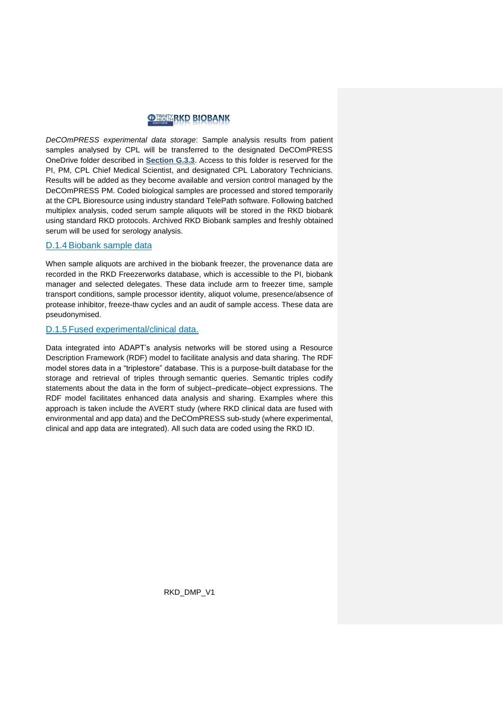#### **O TRINITY RKD BIOBANK**

*DeCOmPRESS experimental data storage*: Sample analysis results from patient samples analysed by CPL will be transferred to the designated DeCOmPRESS OneDrive folder described in **[Section G.3.3](#page-14-4)**. Access to this folder is reserved for the PI, PM, CPL Chief Medical Scientist, and designated CPL Laboratory Technicians. Results will be added as they become available and version control managed by the DeCOmPRESS PM. Coded biological samples are processed and stored temporarily at the CPL Bioresource using industry standard TelePath software. Following batched multiplex analysis, coded serum sample aliquots will be stored in the RKD biobank using standard RKD protocols. Archived RKD Biobank samples and freshly obtained serum will be used for serology analysis.

#### <span id="page-7-0"></span>D.1.4 Biobank sample data

When sample aliquots are archived in the biobank freezer, the provenance data are recorded in the RKD Freezerworks database, which is accessible to the PI, biobank manager and selected delegates. These data include arm to freezer time, sample transport conditions, sample processor identity, aliquot volume, presence/absence of protease inhibitor, freeze-thaw cycles and an audit of sample access. These data are pseudonymised.

#### <span id="page-7-1"></span>D.1.5 Fused experimental/clinical data.

Data integrated into ADAPT's analysis networks will be stored using a Resource Description Framework (RDF) model to facilitate analysis and data sharing. The RDF model stores data in a "triplestore" database. This is a purpose-built database for the storage and retrieval of triples through semantic queries. Semantic triples codify statements about the data in the form of subject–predicate–object expressions. The RDF model facilitates enhanced data analysis and sharing. Examples where this approach is taken include the AVERT study (where RKD clinical data are fused with environmental and app data) and the DeCOmPRESS sub-study (where experimental, clinical and app data are integrated). All such data are coded using the RKD ID.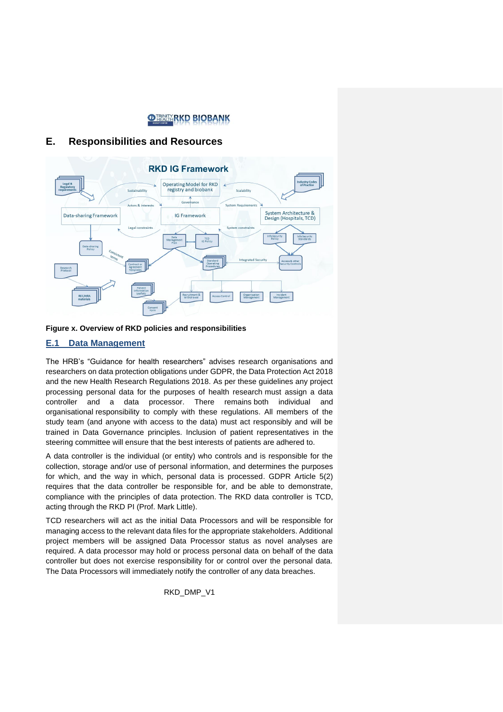

#### <span id="page-8-0"></span>**E. Responsibilities and Resources**



#### **Figure x. Overview of RKD policies and responsibilities**

#### <span id="page-8-1"></span>**E.1 Data Management**

The HRB's "Guidance for health researchers" advises research organisations and researchers on data protection obligations under GDPR, the Data Protection Act 2018 and the new Health Research Regulations 2018. As per these guidelines any project processing personal data for the purposes of health research must assign a data controller and a data processor. There remains both individual and organisational responsibility to comply with these regulations. All members of the study team (and anyone with access to the data) must act responsibly and will be trained in Data Governance principles. Inclusion of patient representatives in the steering committee will ensure that the best interests of patients are adhered to.

A data controller is the individual (or entity) who controls and is responsible for the collection, storage and/or use of personal information, and determines the purposes for which, and the way in which, personal data is processed. GDPR Article 5(2) requires that the data controller be responsible for, and be able to demonstrate, compliance with the principles of data protection. The RKD data controller is TCD, acting through the RKD PI (Prof. Mark Little).

TCD researchers will act as the initial Data Processors and will be responsible for managing access to the relevant data files for the appropriate stakeholders. Additional project members will be assigned Data Processor status as novel analyses are required. A data processor may hold or process personal data on behalf of the data controller but does not exercise responsibility for or control over the personal data. The Data Processors will immediately notify the controller of any data breaches.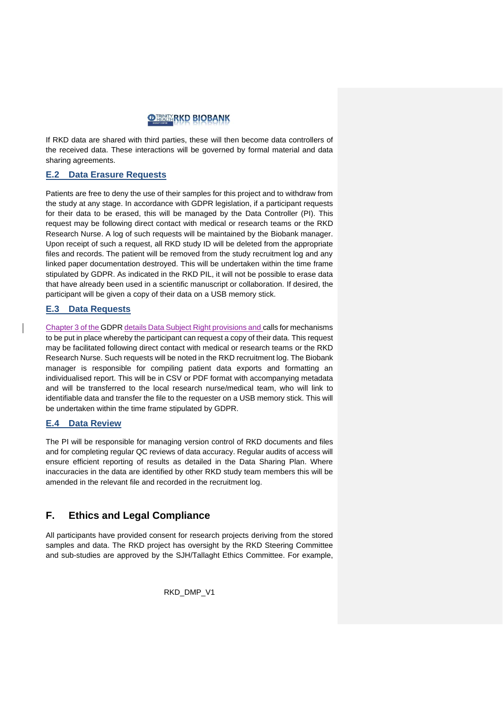

If RKD data are shared with third parties, these will then become data controllers of the received data. These interactions will be governed by formal material and data sharing agreements.

#### <span id="page-9-0"></span>**E.2 Data Erasure Requests**

Patients are free to deny the use of their samples for this project and to withdraw from the study at any stage. In accordance with GDPR legislation, if a participant requests for their data to be erased, this will be managed by the Data Controller (PI). This request may be following direct contact with medical or research teams or the RKD Research Nurse. A log of such requests will be maintained by the Biobank manager. Upon receipt of such a request, all RKD study ID will be deleted from the appropriate files and records. The patient will be removed from the study recruitment log and any linked paper documentation destroyed. This will be undertaken within the time frame stipulated by GDPR. As indicated in the RKD PIL, it will not be possible to erase data that have already been used in a scientific manuscript or collaboration. If desired, the participant will be given a copy of their data on a USB memory stick.

#### <span id="page-9-1"></span>**E.3 Data Requests**

Chapter 3 of the GDPR details Data Subject Right provisions and calls for mechanisms to be put in place whereby the participant can request a copy of their data. This request may be facilitated following direct contact with medical or research teams or the RKD Research Nurse. Such requests will be noted in the RKD recruitment log. The Biobank manager is responsible for compiling patient data exports and formatting an individualised report. This will be in CSV or PDF format with accompanying metadata and will be transferred to the local research nurse/medical team, who will link to identifiable data and transfer the file to the requester on a USB memory stick. This will be undertaken within the time frame stipulated by GDPR.

#### <span id="page-9-2"></span>**E.4 Data Review**

The PI will be responsible for managing version control of RKD documents and files and for completing regular QC reviews of data accuracy. Regular audits of access will ensure efficient reporting of results as detailed in the Data Sharing Plan. Where inaccuracies in the data are identified by other RKD study team members this will be amended in the relevant file and recorded in the recruitment log.

#### <span id="page-9-3"></span>**F. Ethics and Legal Compliance**

All participants have provided consent for research projects deriving from the stored samples and data. The RKD project has oversight by the RKD Steering Committee and sub-studies are approved by the SJH/Tallaght Ethics Committee. For example,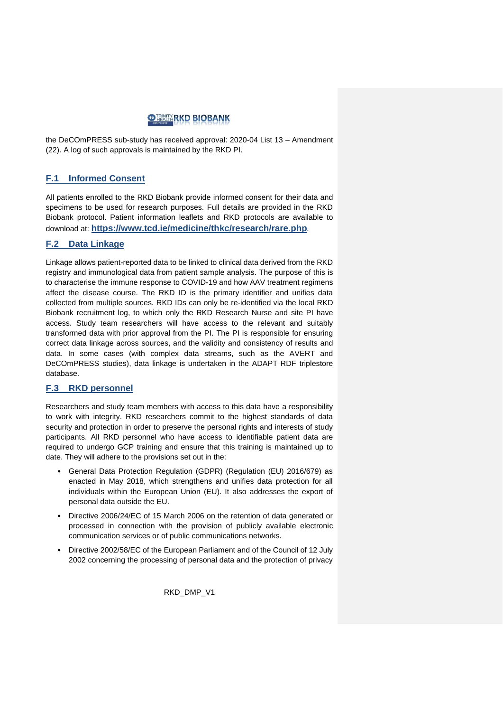

the DeCOmPRESS sub-study has received approval: 2020-04 List 13 – Amendment (22). A log of such approvals is maintained by the RKD PI.

#### <span id="page-10-0"></span>**F.1 Informed Consent**

All patients enrolled to the RKD Biobank provide informed consent for their data and specimens to be used for research purposes. Full details are provided in the RKD Biobank protocol. Patient information leaflets and RKD protocols are available to download at: **<https://www.tcd.ie/medicine/thkc/research/rare.php>***.*

#### <span id="page-10-1"></span>**F.2 Data Linkage**

Linkage allows patient-reported data to be linked to clinical data derived from the RKD registry and immunological data from patient sample analysis. The purpose of this is to characterise the immune response to COVID-19 and how AAV treatment regimens affect the disease course. The RKD ID is the primary identifier and unifies data collected from multiple sources. RKD IDs can only be re-identified via the local RKD Biobank recruitment log, to which only the RKD Research Nurse and site PI have access. Study team researchers will have access to the relevant and suitably transformed data with prior approval from the PI. The PI is responsible for ensuring correct data linkage across sources, and the validity and consistency of results and data. In some cases (with complex data streams, such as the AVERT and DeCOmPRESS studies), data linkage is undertaken in the ADAPT RDF triplestore database.

#### <span id="page-10-2"></span>**F.3 RKD personnel**

Researchers and study team members with access to this data have a responsibility to work with integrity. RKD researchers commit to the highest standards of data security and protection in order to preserve the personal rights and interests of study participants. All RKD personnel who have access to identifiable patient data are required to undergo GCP training and ensure that this training is maintained up to date. They will adhere to the provisions set out in the:

- General Data Protection Regulation (GDPR) (Regulation (EU) 2016/679) as enacted in May 2018, which strengthens and unifies data protection for all individuals within the European Union (EU). It also addresses the export of personal data outside the EU.
- Directive 2006/24/EC of 15 March 2006 on the retention of data generated or processed in connection with the provision of publicly available electronic communication services or of public communications networks.
- Directive 2002/58/EC of the European Parliament and of the Council of 12 July 2002 concerning the processing of personal data and the protection of privacy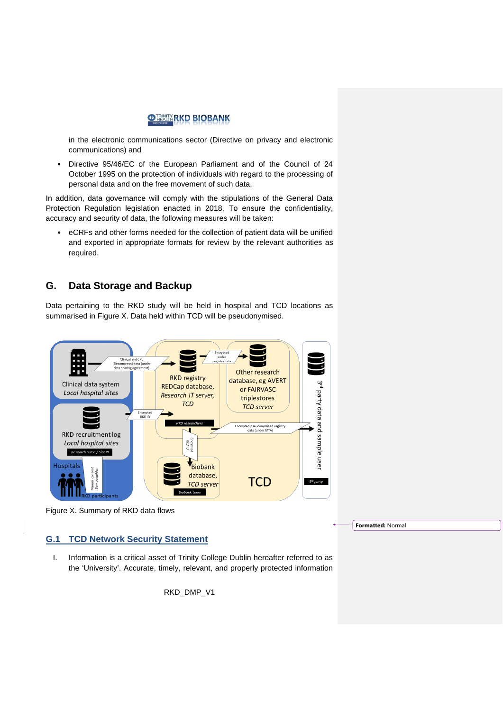

in the electronic communications sector (Directive on privacy and electronic communications) and

• Directive 95/46/EC of the European Parliament and of the Council of 24 October 1995 on the protection of individuals with regard to the processing of personal data and on the free movement of such data.

In addition, data governance will comply with the stipulations of the General Data Protection Regulation legislation enacted in 2018. To ensure the confidentiality, accuracy and security of data, the following measures will be taken:

• eCRFs and other forms needed for the collection of patient data will be unified and exported in appropriate formats for review by the relevant authorities as required.

#### <span id="page-11-0"></span>**G. Data Storage and Backup**

Data pertaining to the RKD study will be held in hospital and TCD locations as summarised in Figure X. Data held within TCD will be pseudonymised.



Figure X. Summary of RKD data flows

#### <span id="page-11-1"></span>**G.1 TCD Network Security Statement**

I. Information is a critical asset of Trinity College Dublin hereafter referred to as the 'University'. Accurate, timely, relevant, and properly protected information

RKD\_DMP\_V1

**Formatted:** Normal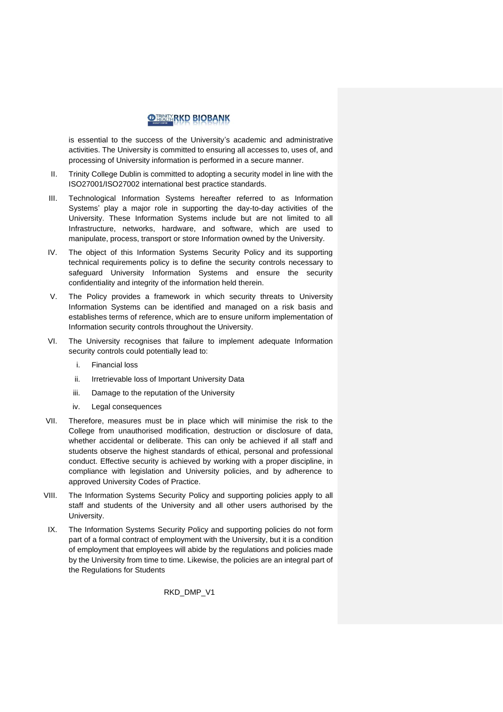

is essential to the success of the University's academic and administrative activities. The University is committed to ensuring all accesses to, uses of, and processing of University information is performed in a secure manner.

- II. Trinity College Dublin is committed to adopting a security model in line with the ISO27001/ISO27002 international best practice standards.
- III. Technological Information Systems hereafter referred to as Information Systems' play a major role in supporting the day-to-day activities of the University. These Information Systems include but are not limited to all Infrastructure, networks, hardware, and software, which are used to manipulate, process, transport or store Information owned by the University.
- IV. The object of this Information Systems Security Policy and its supporting technical requirements policy is to define the security controls necessary to safeguard University Information Systems and ensure the security confidentiality and integrity of the information held therein.
- V. The Policy provides a framework in which security threats to University Information Systems can be identified and managed on a risk basis and establishes terms of reference, which are to ensure uniform implementation of Information security controls throughout the University.
- VI. The University recognises that failure to implement adequate Information security controls could potentially lead to:
	- i. Financial loss
	- ii. Irretrievable loss of Important University Data
	- iii. Damage to the reputation of the University
	- iv. Legal consequences
- VII. Therefore, measures must be in place which will minimise the risk to the College from unauthorised modification, destruction or disclosure of data, whether accidental or deliberate. This can only be achieved if all staff and students observe the highest standards of ethical, personal and professional conduct. Effective security is achieved by working with a proper discipline, in compliance with legislation and University policies, and by adherence to approved University Codes of Practice.
- VIII. The Information Systems Security Policy and supporting policies apply to all staff and students of the University and all other users authorised by the University.
- IX. The Information Systems Security Policy and supporting policies do not form part of a formal contract of employment with the University, but it is a condition of employment that employees will abide by the regulations and policies made by the University from time to time. Likewise, the policies are an integral part of the Regulations for Students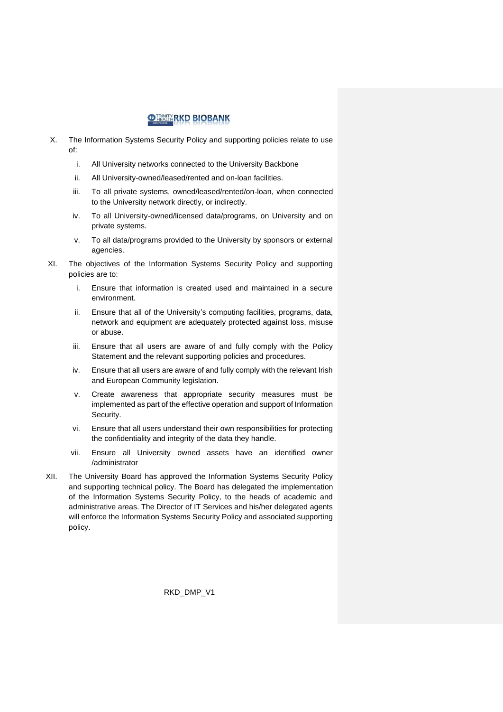

- X. The Information Systems Security Policy and supporting policies relate to use of:
	- i. All University networks connected to the University Backbone
	- ii. All University-owned/leased/rented and on-loan facilities.
	- iii. To all private systems, owned/leased/rented/on-loan, when connected to the University network directly, or indirectly.
	- iv. To all University-owned/licensed data/programs, on University and on private systems.
	- v. To all data/programs provided to the University by sponsors or external agencies.
- XI. The objectives of the Information Systems Security Policy and supporting policies are to:
	- i. Ensure that information is created used and maintained in a secure environment.
	- ii. Ensure that all of the University's computing facilities, programs, data, network and equipment are adequately protected against loss, misuse or abuse.
	- iii. Ensure that all users are aware of and fully comply with the Policy Statement and the relevant supporting policies and procedures.
	- iv. Ensure that all users are aware of and fully comply with the relevant Irish and European Community legislation.
	- v. Create awareness that appropriate security measures must be implemented as part of the effective operation and support of Information Security.
	- vi. Ensure that all users understand their own responsibilities for protecting the confidentiality and integrity of the data they handle.
	- vii. Ensure all University owned assets have an identified owner /administrator
- XII. The University Board has approved the Information Systems Security Policy and supporting technical policy. The Board has delegated the implementation of the Information Systems Security Policy, to the heads of academic and administrative areas. The Director of IT Services and his/her delegated agents will enforce the Information Systems Security Policy and associated supporting policy.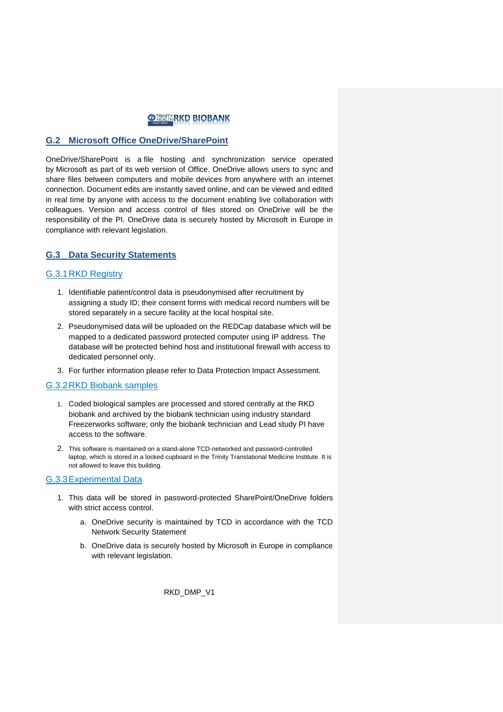

#### <span id="page-14-0"></span>**G.2 Microsoft Office OneDrive/SharePoint**

OneDrive/SharePoint is a file hosting and synchronization service operated by Microsoft as part of its web version of Office. OneDrive allows users to sync and share files between computers and mobile devices from anywhere with an internet connection. Document edits are instantly saved online, and can be viewed and edited in real time by anyone with access to the document enabling live collaboration with colleagues. Version and access control of files stored on OneDrive will be the responsibility of the PI. OneDrive data is securely hosted by Microsoft in Europe in compliance with relevant legislation.

#### <span id="page-14-1"></span>**G.3 Data Security Statements**

#### <span id="page-14-2"></span>G.3.1RKD Registry

- 1. Identifiable patient/control data is pseudonymised after recruitment by assigning a study ID; their consent forms with medical record numbers will be stored separately in a secure facility at the local hospital site.
- 2. Pseudonymised data will be uploaded on the REDCap database which will be mapped to a dedicated password protected computer using IP address. The database will be protected behind host and institutional firewall with access to dedicated personnel only.
- 3. For further information please refer to Data Protection Impact Assessment.

#### <span id="page-14-3"></span>G.3.2RKD Biobank samples

- 1. Coded biological samples are processed and stored centrally at the RKD biobank and archived by the biobank technician using industry standard Freezerworks software; only the biobank technician and Lead study PI have access to the software.
- 2. This software is maintained on a stand-alone TCD-networked and password-controlled laptop, which is stored in a locked cupboard in the Trinity Translational Medicine Institute. It is not allowed to leave this building.

#### <span id="page-14-4"></span>G.3.3Experimental Data

- 1. This data will be stored in password-protected SharePoint/OneDrive folders with strict access control.
	- a. OneDrive security is maintained by TCD in accordance with the TCD Network Security Statement
	- b. OneDrive data is securely hosted by Microsoft in Europe in compliance with relevant legislation.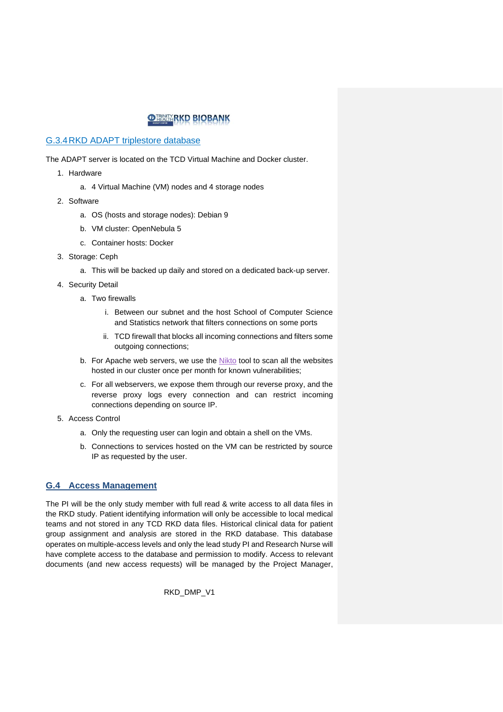#### **O TEXITA RKD BIOBANK**

#### <span id="page-15-0"></span>G.3.4RKD ADAPT triplestore database

The ADAPT server is located on the TCD Virtual Machine and Docker cluster.

- 1. Hardware
	- a. 4 Virtual Machine (VM) nodes and 4 storage nodes
- 2. Software
	- a. OS (hosts and storage nodes): Debian 9
	- b. VM cluster: OpenNebula 5
	- c. Container hosts: Docker
- 3. Storage: Ceph
	- a. This will be backed up daily and stored on a dedicated back-up server.
- 4. Security Detail
	- a. Two firewalls
		- i. Between our subnet and the host School of Computer Science and Statistics network that filters connections on some ports
		- ii. TCD firewall that blocks all incoming connections and filters some outgoing connections;
	- b. For Apache web servers, we use the [Nikto](https://cirt.net/nikto2) tool to scan all the websites hosted in our cluster once per month for known vulnerabilities;
	- c. For all webservers, we expose them through our reverse proxy, and the reverse proxy logs every connection and can restrict incoming connections depending on source IP.
- 5. Access Control
	- a. Only the requesting user can login and obtain a shell on the VMs.
	- b. Connections to services hosted on the VM can be restricted by source IP as requested by the user.

#### <span id="page-15-1"></span>**G.4 Access Management**

The PI will be the only study member with full read & write access to all data files in the RKD study. Patient identifying information will only be accessible to local medical teams and not stored in any TCD RKD data files. Historical clinical data for patient group assignment and analysis are stored in the RKD database. This database operates on multiple-access levels and only the lead study PI and Research Nurse will have complete access to the database and permission to modify. Access to relevant documents (and new access requests) will be managed by the Project Manager,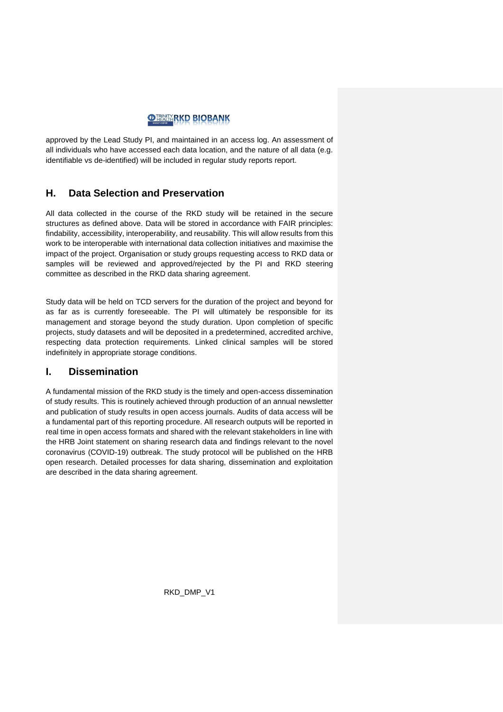

approved by the Lead Study PI, and maintained in an access log. An assessment of all individuals who have accessed each data location, and the nature of all data (e.g. identifiable vs de-identified) will be included in regular study reports report.

#### <span id="page-16-0"></span>**H. Data Selection and Preservation**

All data collected in the course of the RKD study will be retained in the secure structures as defined above. Data will be stored in accordance with FAIR principles: findability, accessibility, interoperability, and reusability. This will allow results from this work to be interoperable with international data collection initiatives and maximise the impact of the project. Organisation or study groups requesting access to RKD data or samples will be reviewed and approved/rejected by the PI and RKD steering committee as described in the RKD data sharing agreement.

Study data will be held on TCD servers for the duration of the project and beyond for as far as is currently foreseeable. The PI will ultimately be responsible for its management and storage beyond the study duration. Upon completion of specific projects, study datasets and will be deposited in a predetermined, accredited archive, respecting data protection requirements. Linked clinical samples will be stored indefinitely in appropriate storage conditions.

#### <span id="page-16-1"></span>**I. Dissemination**

A fundamental mission of the RKD study is the timely and open-access dissemination of study results. This is routinely achieved through production of an annual newsletter and publication of study results in open access journals. Audits of data access will be a fundamental part of this reporting procedure. All research outputs will be reported in real time in open access formats and shared with the relevant stakeholders in line with the [HRB Joint statement](https://wellcome.ac.uk/coronavirus-covid-19/open-data) on sharing research data and findings relevant to the novel coronavirus (COVID-19) outbreak. The study protocol will be published on the HRB open research. Detailed processes for data sharing, dissemination and exploitation are described in the data sharing agreement.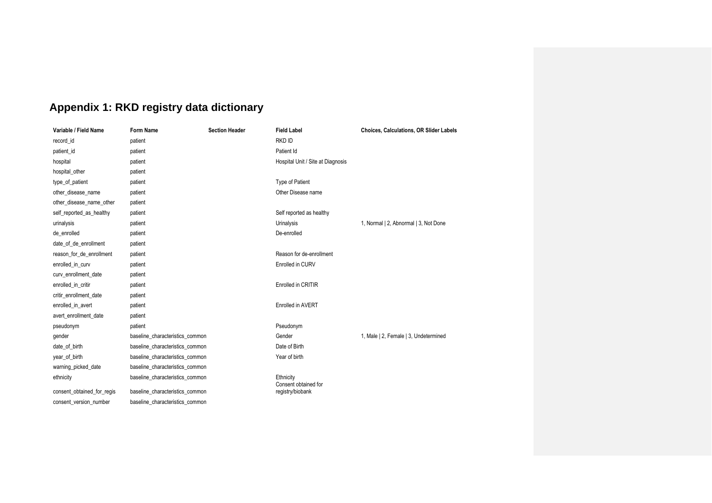# **Appendix 1: RKD registry data dictionary**

<span id="page-17-0"></span>

| Variable / Field Name      | Form Name                       | <b>Section Header</b> | <b>Field Label</b>                | <b>Choices, Calculations, OR Slider Labels</b> |
|----------------------------|---------------------------------|-----------------------|-----------------------------------|------------------------------------------------|
| record_id                  | patient                         |                       | <b>RKD ID</b>                     |                                                |
| patient_id                 | patient                         |                       | Patient Id                        |                                                |
| hospital                   | patient                         |                       | Hospital Unit / Site at Diagnosis |                                                |
| hospital_other             | patient                         |                       |                                   |                                                |
| type_of_patient            | patient                         |                       | <b>Type of Patient</b>            |                                                |
| other_disease_name         | patient                         |                       | Other Disease name                |                                                |
| other_disease_name_other   | patient                         |                       |                                   |                                                |
| self_reported_as_healthy   | patient                         |                       | Self reported as healthy          |                                                |
| urinalysis                 | patient                         |                       | Urinalysis                        | 1, Normal   2, Abnormal   3, Not Done          |
| de_enrolled                | patient                         |                       | De-enrolled                       |                                                |
| date_of_de_enrollment      | patient                         |                       |                                   |                                                |
| reason_for_de_enrollment   | patient                         |                       | Reason for de-enrollment          |                                                |
| enrolled_in_curv           | patient                         |                       | Enrolled in CURV                  |                                                |
| curv_enrollment_date       | patient                         |                       |                                   |                                                |
| enrolled in critir         | patient                         |                       | Enrolled in CRITIR                |                                                |
| critir enrollment date     | patient                         |                       |                                   |                                                |
| enrolled_in_avert          | patient                         |                       | Enrolled in AVERT                 |                                                |
| avert enrollment date      | patient                         |                       |                                   |                                                |
| pseudonym                  | patient                         |                       | Pseudonym                         |                                                |
| gender                     | baseline_characteristics_common |                       | Gender                            | 1, Male   2, Female   3, Undetermined          |
| date_of_birth              | baseline_characteristics_common |                       | Date of Birth                     |                                                |
| year_of_birth              | baseline_characteristics_common |                       | Year of birth                     |                                                |
| warning_picked_date        | baseline_characteristics_common |                       |                                   |                                                |
| ethnicity                  | baseline characteristics common |                       | Ethnicity<br>Consent obtained for |                                                |
| consent_obtained_for_regis | baseline_characteristics_common |                       | registry/biobank                  |                                                |
| consent_version_number     | baseline_characteristics_common |                       |                                   |                                                |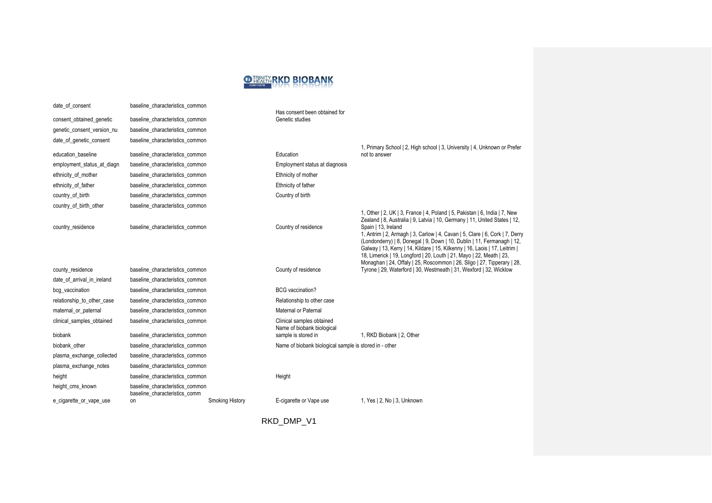

| date of consent            | baseline characteristics common                                  |                        |                                                         |                                                                                                                                                                                                                                                                                                                                                                                                                  |
|----------------------------|------------------------------------------------------------------|------------------------|---------------------------------------------------------|------------------------------------------------------------------------------------------------------------------------------------------------------------------------------------------------------------------------------------------------------------------------------------------------------------------------------------------------------------------------------------------------------------------|
| consent_obtained_genetic   | baseline characteristics common                                  |                        | Has consent been obtained for<br>Genetic studies        |                                                                                                                                                                                                                                                                                                                                                                                                                  |
| genetic_consent_version_nu | baseline characteristics common                                  |                        |                                                         |                                                                                                                                                                                                                                                                                                                                                                                                                  |
| date_of_genetic_consent    | baseline_characteristics_common                                  |                        |                                                         |                                                                                                                                                                                                                                                                                                                                                                                                                  |
| education baseline         | baseline characteristics common                                  |                        | Education                                               | 1, Primary School   2, High school   3, University   4, Unknown or Prefer<br>not to answer                                                                                                                                                                                                                                                                                                                       |
| employment_status_at_diagn | baseline_characteristics_common                                  |                        | Employment status at diagnosis                          |                                                                                                                                                                                                                                                                                                                                                                                                                  |
| ethnicity_of_mother        | baseline_characteristics_common                                  |                        | Ethnicity of mother                                     |                                                                                                                                                                                                                                                                                                                                                                                                                  |
| ethnicity_of_father        | baseline characteristics common                                  |                        | Ethnicity of father                                     |                                                                                                                                                                                                                                                                                                                                                                                                                  |
| country_of_birth           | baseline_characteristics_common                                  |                        | Country of birth                                        |                                                                                                                                                                                                                                                                                                                                                                                                                  |
| country_of_birth_other     | baseline characteristics common                                  |                        |                                                         | 1, Other   2, UK   3, France   4, Poland   5, Pakistan   6, India   7, New<br>Zealand   8, Australia   9, Latvia   10, Germany   11, United States   12,                                                                                                                                                                                                                                                         |
| country_residence          | baseline_characteristics_common                                  |                        | Country of residence                                    | Spain   13, Ireland<br>1, Antrim   2, Armagh   3, Carlow   4, Cavan   5, Clare   6, Cork   7, Derry<br>(Londonderry)   8, Donegal   9, Down   10, Dublin   11, Fermanagh   12,<br>Galway   13, Kerry   14, Kildare   15, Kilkenny   16, Laois   17, Leitrim  <br>18, Limerick   19, Longford   20, Louth   21, Mayo   22, Meath   23,<br>Monaghan   24, Offaly   25, Roscommon   26, Sligo   27, Tipperary   28, |
| county_residence           | baseline_characteristics_common                                  |                        | County of residence                                     | Tyrone   29, Waterford   30, Westmeath   31, Wexford   32, Wicklow                                                                                                                                                                                                                                                                                                                                               |
| date of arrival in ireland | baseline characteristics common                                  |                        |                                                         |                                                                                                                                                                                                                                                                                                                                                                                                                  |
| bcg_vaccination            | baseline_characteristics_common                                  |                        | <b>BCG</b> vaccination?                                 |                                                                                                                                                                                                                                                                                                                                                                                                                  |
| relationship_to_other_case | baseline_characteristics_common                                  |                        | Relationship to other case                              |                                                                                                                                                                                                                                                                                                                                                                                                                  |
| maternal_or_paternal       | baseline_characteristics_common                                  |                        | Maternal or Paternal                                    |                                                                                                                                                                                                                                                                                                                                                                                                                  |
| clinical samples obtained  | baseline characteristics common                                  |                        | Clinical samples obtained<br>Name of biobank biological |                                                                                                                                                                                                                                                                                                                                                                                                                  |
| biobank                    | baseline characteristics common                                  |                        | sample is stored in                                     | 1, RKD Biobank   2, Other                                                                                                                                                                                                                                                                                                                                                                                        |
| biobank other              | baseline characteristics common                                  |                        | Name of biobank biological sample is stored in - other  |                                                                                                                                                                                                                                                                                                                                                                                                                  |
| plasma_exchange_collected  | baseline_characteristics_common                                  |                        |                                                         |                                                                                                                                                                                                                                                                                                                                                                                                                  |
| plasma_exchange_notes      | baseline_characteristics_common                                  |                        |                                                         |                                                                                                                                                                                                                                                                                                                                                                                                                  |
| height                     | baseline characteristics common                                  |                        | Height                                                  |                                                                                                                                                                                                                                                                                                                                                                                                                  |
| height_cms_known           | baseline characteristics common<br>baseline characteristics comm |                        |                                                         |                                                                                                                                                                                                                                                                                                                                                                                                                  |
| e_cigarette_or_vape_use    | on                                                               | <b>Smoking History</b> | E-cigarette or Vape use                                 | 1, Yes   2, No   3, Unknown                                                                                                                                                                                                                                                                                                                                                                                      |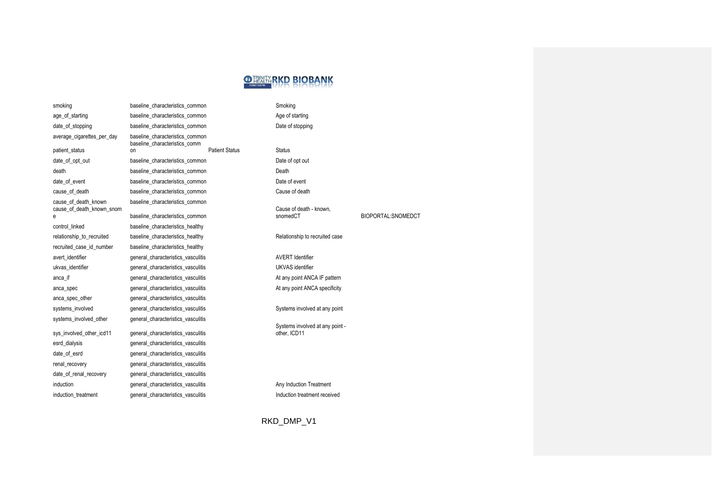

| smoking                        | baseline_characteristics_common                                  |                       | Smoking                      |
|--------------------------------|------------------------------------------------------------------|-----------------------|------------------------------|
| age_of_starting                | baseline characteristics common                                  |                       | Age of startin               |
| date_of_stopping               | baseline characteristics common                                  |                       | Date of stopp                |
| average_cigarettes_per_day     | baseline_characteristics_common<br>baseline_characteristics_comm |                       |                              |
| patient_status                 | on                                                               | <b>Patient Status</b> | <b>Status</b>                |
| date of opt out                | baseline characteristics common                                  |                       | Date of opt or               |
| death                          | baseline characteristics common                                  |                       | Death                        |
| date_of_event                  | baseline_characteristics_common                                  |                       | Date of event                |
| cause of death                 | baseline characteristics common                                  |                       | Cause of dea                 |
| cause_of_death_known           | baseline_characteristics_common                                  |                       |                              |
| cause_of_death_known_snom<br>е | baseline_characteristics_common                                  |                       | Cause of dea<br>snomedCT     |
| control linked                 | baseline_characteristics_healthy                                 |                       |                              |
| relationship_to_recruited      | baseline characteristics healthy                                 |                       | Relationship f               |
| recruited case id number       | baseline characteristics healthy                                 |                       |                              |
| avert_identifier               | general_characteristics_vasculitis                               |                       | <b>AVERT</b> Ident           |
| ukvas identifier               | general characteristics vasculitis                               |                       | UKVAS identi                 |
| anca_if                        | general_characteristics_vasculitis                               |                       | At any point A               |
| anca_spec                      | general characteristics vasculitis                               |                       | At any point A               |
| anca_spec_other                | general_characteristics_vasculitis                               |                       |                              |
| systems involved               | general characteristics vasculitis                               |                       | Systems invo                 |
| systems_involved_other         | general_characteristics_vasculitis                               |                       |                              |
| sys involved other icd11       | general characteristics vasculitis                               |                       | Systems invo<br>other, ICD11 |
| esrd_dialysis                  | general characteristics vasculitis                               |                       |                              |
| date_of_esrd                   | general_characteristics_vasculitis                               |                       |                              |
| renal_recovery                 | general_characteristics_vasculitis                               |                       |                              |
| date_of_renal_recovery         | general_characteristics_vasculitis                               |                       |                              |
| induction                      | general characteristics vasculitis                               |                       | Any Induction                |
| induction_treatment            | general_characteristics_vasculitis                               |                       | Induction trea               |
|                                |                                                                  |                       |                              |

## age\_of\_starting baseline\_characteristics\_common Age of starting common baseline baseline base of stopping baseliness.

common baseline baseline baseline baseline baseline baseline baseline baseline baseline baseline baseline base common common cause of death

Cause of death - known,<br>snomedCT

#### Lealthy<br> **Relationship to recruited case**

BIOPORTAL:SNOMEDCT

vasculitis vasculitis and average and average and average  $a$ NERT Identifier vasculitis vasculitis vasculitis UKVAS identifier vasculitis vasculitis At any point ANCA IF pattern vasculitis vasculitis At any point ANCA specificity

vasculitis vasculitis vasculitis Systems involved at any point

Systems involved at any point other, ICD11

vasculitis **Any Induction Treatment** vasculitis induction treatment received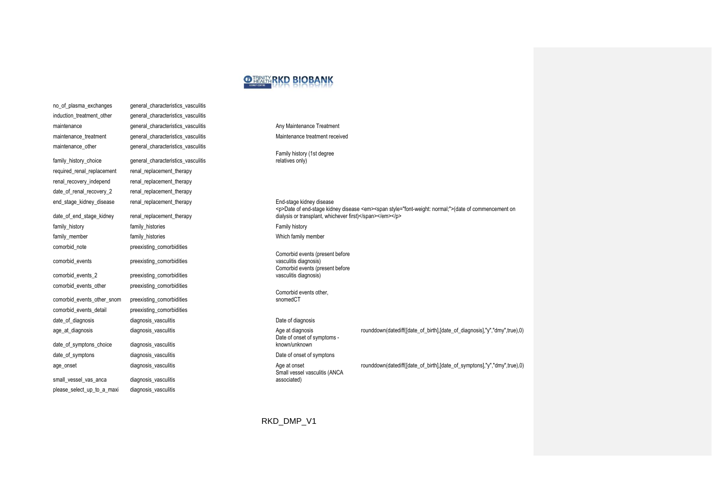

| no_of_plasma_exchanges     | general_characteristics_vasculitis |
|----------------------------|------------------------------------|
| induction_treatment_other  | general_characteristics_vasculitis |
| maintenance                | general_characteristics_vasculitis |
| maintenance_treatment      | general_characteristics_vasculitis |
| maintenance other          | general_characteristics_vasculitis |
| family_history_choice      | general_characteristics_vasculitis |
| required_renal_replacement | renal_replacement_therapy          |
| renal_recovery_independ    | renal_replacement_therapy          |
| date_of_renal_recovery_2   | renal_replacement_therapy          |
| end_stage_kidney_disease   | renal_replacement_therapy          |
| date_of_end_stage_kidney   | renal_replacement_therapy          |
| family_history             | family histories                   |
| family_member              | family_histories                   |
| comorbid note              | preexisting_comorbidities          |
| comorbid_events            | preexisting_comorbidities          |
| comorbid_events_2          | preexisting_comorbidities          |
| comorbid_events_other      | preexisting_comorbidities          |
| comorbid_events_other_snom | preexisting_comorbidities          |
| comorbid_events_detail     | preexisting_comorbidities          |
| date_of_diagnosis          | diagnosis_vasculitis               |
| age_at_diagnosis           | diagnosis_vasculitis               |
| date_of_symptons_choice    | diagnosis_vasculitis               |
| date_of_symptons           | diagnosis_vasculitis               |
| age_onset                  | diagnosis_vasculitis               |
| small vessel vas anca      | diagnosis_vasculitis               |
| please_select_up_to_a_maxi | diagnosis_vasculitis               |



End-stage kidney disease <p>Date of end-stage kidney disease <em><span style="font-weight: normal;">(date of commencement on dialysis or transplant, whichever first)</span></em></p> Family history Which family member Comorbid events (present before vasculitis diagnosis) Comorbid events (present before vasculitis diagnosis) Comorbid events other, snomedCT Date of diagnosis Age at diagnosis rounddown(datediff([date\_of\_birth],[date\_of\_diagnosis],"y","dmy",true),0) Date of onset of symptoms known/unknown Date of onset of symptons Age at onset rounddown(datediff([date\_of\_birth],[date\_of\_symptons],"y","dmy",true),0) Small vessel vasculitis (ANCA associated)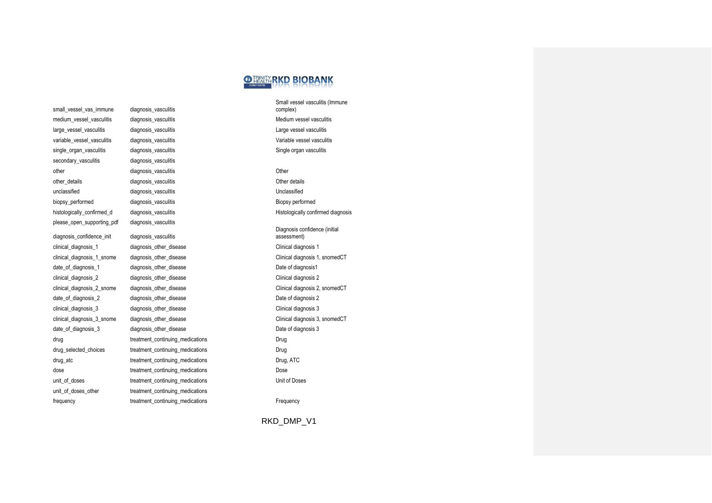small\_vessel\_vas\_immune diagnosis\_vasculitis secondary\_vasculitis diagnosis\_vasculitis please\_open\_supporting\_pdf diagnosis\_vasculitis diagnosis\_confidence\_init diagnosis\_vasculitis

medium vessel vasculitis diagnosis vasculitis Medium vessel vasculitis Medium vessel vasculitis Medium vessel vasculitis large\_vessel\_vasculitis diagnosis\_vasculitis Large vessel vasculitis variable vessel vasculitis diagnosis vasculitis vasculitis Variable vessel vasculitis variable vessel vasculitis single\_organ\_vasculitis diagnosis\_vasculitis Single organ vasculitis Single organ vasculitis Single organ vasculitis other diagnosis\_vasculitis other Other other\_details diagnosis\_vasculitis contract and other details Other details of the details of the details of the details of the details of the details of the details of the details of the details of the details of the deta unclassified diagnosis vasculitis unclassified Unclassified biopsy\_performed diagnosis\_vasculitis and diagnosis\_vasculitis Biopsy performed histologically\_confirmed\_d diagnosis\_vasculitis Histologically confirmed diagnosis clinical\_diagnosis\_1 diagnosis\_other\_disease Clinical diagnosis 1 clinical\_diagnosis\_1\_snome diagnosis\_other\_disease Clinical diagnosis 1, snomedCT date\_of\_diagnosis\_1 diagnosis\_other\_disease detection of the Date of diagnosis1 clinical diagnosis 2 diagnosis other disease Clinical diagnosis 2 clinical\_diagnosis\_2\_snome diagnosis\_other\_disease Clinical diagnosis 2, snomedCT date\_of\_diagnosis\_2 diagnosis\_other\_disease date of diagnosis 2 clinical diagnosis 3 diagnosis other disease Clinical diagnosis 3 clinical\_diagnosis\_3\_snome diagnosis\_other\_disease Clinical diagnosis 3, snomedCT date of diagnosis 3 diagnosis other disease date of diagnosis 3 drug drug treatment\_continuing\_medications drug Drug drug\_selected\_choices treatment\_continuing\_medications Drug drug\_atc treatment\_continuing\_medications Drug, ATC dose treatment\_continuing\_medications dose Dose unit of doses treatment continuing medications The Unit of Doses unit\_of\_doses\_other treatment\_continuing\_medications frequency treatment\_continuing\_medications Frequency

## **O TRIAITY RKD BIOBANK**

Small vessel vasculitis (Immune complex)

Diagnosis confidence (initial assessment)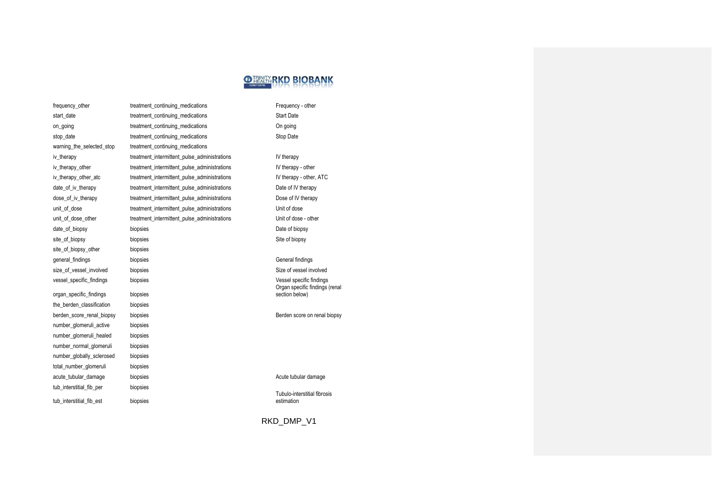

frequency other treatment continuing medications Frequency - other treatment continuing medications start\_date treatment\_continuing\_medications start date Start Date on\_going treatment\_continuing\_medications on going On going stop\_date treatment\_continuing\_medications Stop Date warning the selected stop treatment continuing medications iv\_therapy treatment\_intermittent\_pulse\_administrations IV therapy iv\_therapy\_other treatment\_intermittent\_pulse\_administrations IV therapy - other iv\_therapy\_other\_atc treatment\_intermittent\_pulse\_administrations IV therapy - other, ATC date\_of\_iv\_therapy treatment\_intermittent\_pulse\_administrations Date of IV therapy dose\_of\_iv\_therapy treatment\_intermittent\_pulse\_administrations Dose of IV therapy unit\_of\_dose treatment\_intermittent\_pulse\_administrations Unit of dose unit\_of\_dose\_other treatment\_intermittent\_pulse\_administrations Unit of dose - other date of biopsy biopsies biopsies biopsies and biopsy biopsies biopsy biopsy biopsy biopsy biopsy biopsy biopsy site of biopsy state of biopsy biopsies state of biopsy state of biopsy state of biopsy site\_of\_biopsy\_other biopsies general\_findings biopsies biopsies biopsies and the state of the General findings of the state of the state of the state of the state of the state of the state of the state of the state of the state of the state of the sta size\_of\_vessel\_involved biopsies biopsies biopsies Size of vessel involved vessel specific findings biopsies biopsies version of the Vessel specific findings version of the Vessel specific findings organ\_specific\_findings biopsies the\_berden\_classification biopsies berden score renal biopsy biopsies Berden score on renal biopsy biopsies Berden score on renal biopsy number glomeruli active biopsies number alomeruli healed biopsies number\_normal\_glomeruli biopsies number\_qlobally\_sclerosed biopsies total number glomeruli biopsies acute\_tubular\_damage biopsies biopsies biopsies and the set of the Acute tubular damage tub\_interstitial\_fib\_per biopsies tub interstitial fib est biopsies

# Organ specific findings (renal section below)

Tubulo-interstitial fibrosis estimation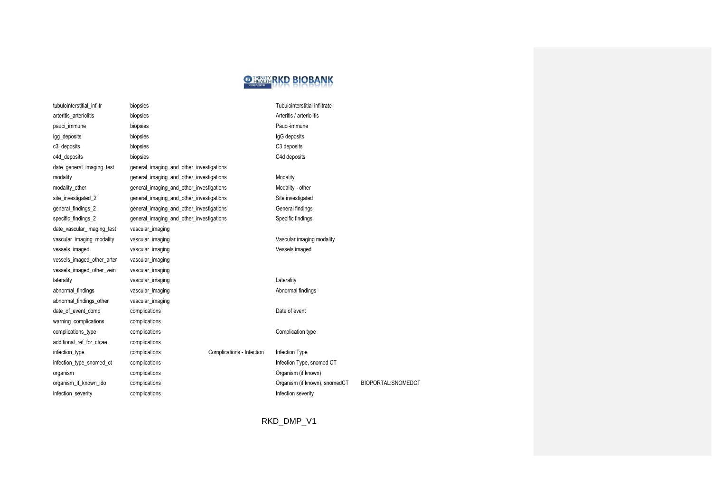# **O TRAILY RKD BIOBANK**

| tubulointerstitial_infiltr | biopsies                                 |                           | Tubulointerstitial infiltrate |
|----------------------------|------------------------------------------|---------------------------|-------------------------------|
| arteritis_arteriolitis     | biopsies                                 |                           | Arteritis / arteriolitis      |
| pauci_immune               | biopsies                                 |                           | Pauci-immune                  |
| igg_deposits               | biopsies                                 |                           | IgG deposits                  |
| c3 deposits                | biopsies                                 |                           | C <sub>3</sub> deposits       |
| c4d_deposits               | biopsies                                 |                           | C4d deposits                  |
| date general imaging test  | general_imaging_and_other_investigations |                           |                               |
| modality                   | general_imaging_and_other_investigations |                           | Modality                      |
| modality_other             | general_imaging_and_other_investigations |                           | Modality - other              |
| site_investigated_2        | general_imaging_and_other_investigations |                           | Site investigated             |
| general_findings_2         | general_imaging_and_other_investigations |                           | General findings              |
| specific_findings_2        | general_imaging_and_other_investigations |                           | Specific findings             |
| date_vascular_imaging_test | vascular_imaging                         |                           |                               |
| vascular_imaging_modality  | vascular_imaging                         |                           | Vascular imaging modality     |
| vessels imaged             | vascular_imaging                         |                           | Vessels imaged                |
| vessels_imaged_other_arter | vascular_imaging                         |                           |                               |
| vessels_imaged_other_vein  | vascular_imaging                         |                           |                               |
| laterality                 | vascular_imaging                         |                           | Laterality                    |
| abnormal_findings          | vascular_imaging                         |                           | Abnormal findings             |
| abnormal_findings_other    | vascular_imaging                         |                           |                               |
| date_of_event_comp         | complications                            |                           | Date of event                 |
| warning_complications      | complications                            |                           |                               |
| complications_type         | complications                            |                           | Complication type             |
| additional_ref_for_ctcae   | complications                            |                           |                               |
| infection_type             | complications                            | Complications - Infection | Infection Type                |
| infection_type_snomed_ct   | complications                            |                           | Infection Type, snomed CT     |
| organism                   | complications                            |                           | Organism (if known)           |
| organism_if_known_ido      | complications                            |                           | Organism (if known), snomedCT |
| infection_severity         | complications                            |                           | Infection severity            |
|                            |                                          |                           |                               |

RKD\_DMP\_V1

BIOPORTAL:SNOMEDCT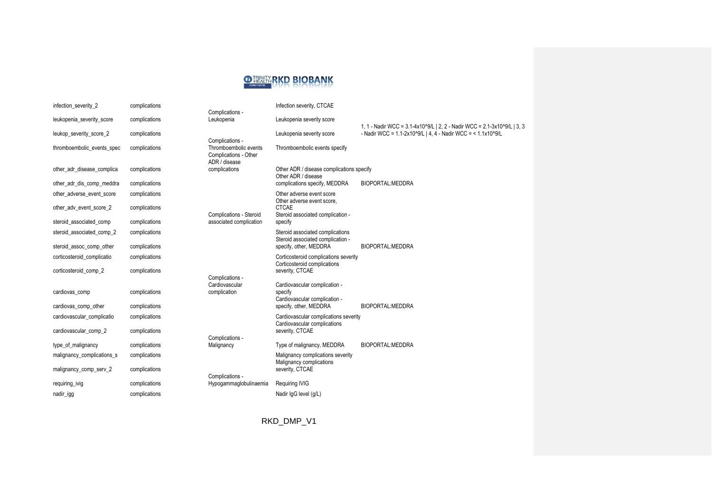

| infection severity 2       | complications | Complications -                                                                    | Infection severity, CTCAE                                                 |                                                                                                                                          |
|----------------------------|---------------|------------------------------------------------------------------------------------|---------------------------------------------------------------------------|------------------------------------------------------------------------------------------------------------------------------------------|
| leukopenia severity score  | complications | Leukopenia                                                                         | Leukopenia severity score                                                 |                                                                                                                                          |
| leukop_severity_score_2    | complications |                                                                                    | Leukopenia severity score                                                 | 1, 1 - Nadir WCC = 3.1-4x10^9/L   2, 2 - Nadir WCC = 2.1-3x10^9/L   3, 3<br>- Nadir WCC = 1.1-2x10^9/L   4, 4 - Nadir WCC = < 1.1x10^9/L |
| thromboembolic events spec | complications | Complications -<br>Thromboembolic events<br>Complications - Other<br>ADR / disease | Thromboembolic events specify                                             |                                                                                                                                          |
| other adr disease complica | complications | complications                                                                      | Other ADR / disease complications specify<br>Other ADR / disease          |                                                                                                                                          |
| other_adr_dis_comp_meddra  | complications |                                                                                    | complications specify, MEDDRA                                             | BIOPORTAL: MEDDRA                                                                                                                        |
| other adverse event score  | complications |                                                                                    | Other adverse event score<br>Other adverse event score.                   |                                                                                                                                          |
| other adv event score 2    | complications | Complications - Steroid                                                            | <b>CTCAE</b><br>Steroid associated complication -                         |                                                                                                                                          |
| steroid_associated_comp    | complications | associated complication                                                            | specify                                                                   |                                                                                                                                          |
| steroid associated comp 2  | complications |                                                                                    | Steroid associated complications<br>Steroid associated complication -     |                                                                                                                                          |
| steroid assoc comp other   | complications |                                                                                    | specify, other, MEDDRA                                                    | <b>BIOPORTAL:MEDDRA</b>                                                                                                                  |
| corticosteroid complicatio | complications |                                                                                    | Corticosteroid complications severity<br>Corticosteroid complications     |                                                                                                                                          |
| corticosteroid_comp_2      | complications | Complications -                                                                    | severity, CTCAE                                                           |                                                                                                                                          |
| cardiovas_comp             | complications | Cardiovascular<br>complication                                                     | Cardiovascular complication -<br>specify<br>Cardiovascular complication - |                                                                                                                                          |
| cardiovas comp other       | complications |                                                                                    | specify, other, MEDDRA                                                    | BIOPORTAL: MEDDRA                                                                                                                        |
| cardiovascular complicatio | complications |                                                                                    | Cardiovascular complications severity<br>Cardiovascular complications     |                                                                                                                                          |
| cardiovascular comp 2      | complications | Complications -                                                                    | severity, CTCAE                                                           |                                                                                                                                          |
| type of malignancy         | complications | Malignancy                                                                         | Type of malignancy, MEDDRA                                                | <b>BIOPORTAL:MEDDRA</b>                                                                                                                  |
| malignancy complications s | complications |                                                                                    | Malignancy complications severity<br>Malignancy complications             |                                                                                                                                          |
| malignancy_comp_serv_2     | complications | Complications -                                                                    | severity, CTCAE                                                           |                                                                                                                                          |
| requiring_ivig             | complications | Hypogammaglobulinaemia                                                             | <b>Requiring IVIG</b>                                                     |                                                                                                                                          |
| nadir_igg                  | complications |                                                                                    | Nadir IqG level (q/L)                                                     |                                                                                                                                          |
|                            |               |                                                                                    |                                                                           |                                                                                                                                          |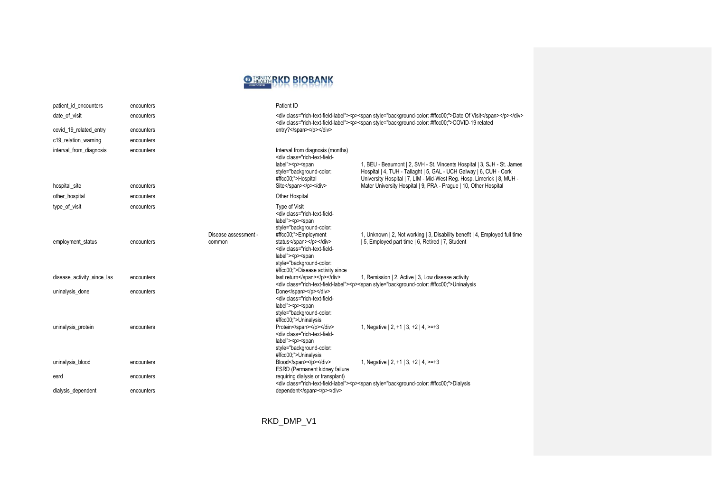

| patient_id_encounters                    | encounters               |                                | Patient ID                                                                                                                                                                                                                                                                                                                                                                                                     |                                                                                                                                                                                                                                                                                             |
|------------------------------------------|--------------------------|--------------------------------|----------------------------------------------------------------------------------------------------------------------------------------------------------------------------------------------------------------------------------------------------------------------------------------------------------------------------------------------------------------------------------------------------------------|---------------------------------------------------------------------------------------------------------------------------------------------------------------------------------------------------------------------------------------------------------------------------------------------|
| date_of_visit                            | encounters               |                                |                                                                                                                                                                                                                                                                                                                                                                                                                | <div class="rich-text-field-label"><p><span style="background-color: #ffcc00;">Date Of Visit</span></p></div><br><div class="rich-text-field-label"><p><span style="background-color: #ffcc00;">COVID-19 related</span></p></div>                                                           |
| covid 19 related entry                   | encounters               |                                | entry?                                                                                                                                                                                                                                                                                                                                                                                                         |                                                                                                                                                                                                                                                                                             |
| c19 relation warning                     | encounters               |                                |                                                                                                                                                                                                                                                                                                                                                                                                                |                                                                                                                                                                                                                                                                                             |
| interval_from_diagnosis<br>hospital_site | encounters<br>encounters |                                | Interval from diagnosis (months)<br><div class="rich-text-field-&lt;br&gt;label"><p><span<br>style="background-color:<br/>#ffcc00;"&gt;Hospital<br/>Site</span<br></p></div>                                                                                                                                                                                                                                   | 1, BEU - Beaumont   2, SVH - St. Vincents Hospital   3, SJH - St. James<br>Hospital   4, TUH - Tallaght   5, GAL - UCH Galway   6, CUH - Cork<br>University Hospital   7, LIM - Mid-West Reg. Hosp. Limerick   8, MUH -<br>Mater University Hospital   9, PRA - Prague   10, Other Hospital |
| other hospital                           | encounters               |                                | Other Hospital                                                                                                                                                                                                                                                                                                                                                                                                 |                                                                                                                                                                                                                                                                                             |
| type_of_visit                            | encounters               |                                | <b>Type of Visit</b><br><div class="rich-text-field-&lt;br&gt;label"><p><span< td=""><td></td></span<></p></div>                                                                                                                                                                                                                                                                                               |                                                                                                                                                                                                                                                                                             |
| employment_status                        | encounters               | Disease assessment -<br>common | style="background-color:<br>#ffcc00;">Employment<br>status<br><div class="rich-text-field-&lt;br&gt;label"><p><span<br>style="background-color:<br/>#ffcc00;"&gt;Disease activity since</span<br></p></div>                                                                                                                                                                                                    | 1, Unknown   2, Not working   3, Disability benefit   4, Employed full time<br>15, Employed part time   6, Retired   7, Student                                                                                                                                                             |
| disease activity since las               | encounters               |                                | last return                                                                                                                                                                                                                                                                                                                                                                                                    | 1, Remission   2, Active   3, Low disease activity<br><div class="rich-text-field-label"><p><span style="background-color: #ffcc00;">Uninalysis</span></p></div>                                                                                                                            |
| uninalysis done                          | encounters               |                                | Done<br><div class="rich-text-field-&lt;/td&gt;&lt;td&gt;&lt;/td&gt;&lt;/tr&gt;&lt;tr&gt;&lt;td&gt;uninalysis_protein&lt;/td&gt;&lt;td&gt;encounters&lt;/td&gt;&lt;td&gt;&lt;/td&gt;&lt;td&gt;label"><p><span<br>style="background-color:<br/>#ffcc00;"&gt;Uninalysis<br/>Protein</span<br></p></div><br><div class="rich-text-field-&lt;br&gt;label"><p><span<br>style="background-color:</span<br></p></div> | 1, Negative   2, +1   3, +2   4, >=+3                                                                                                                                                                                                                                                       |
| uninalysis_blood                         | encounters               |                                | #ffcc00;">Uninalysis<br>Blood<br>ESRD (Permanent kidney failure                                                                                                                                                                                                                                                                                                                                                | 1, Negative $ 2, +1 3, +2 4, >=+3$                                                                                                                                                                                                                                                          |
| esrd                                     | encounters               |                                | requiring dialysis or transplant)                                                                                                                                                                                                                                                                                                                                                                              |                                                                                                                                                                                                                                                                                             |
| dialysis dependent                       | encounters               |                                | dependent                                                                                                                                                                                                                                                                                                                                                                                                      | <div class="rich-text-field-label"><p><span style="background-color: #ffcc00;">Dialysis</span></p></div>                                                                                                                                                                                    |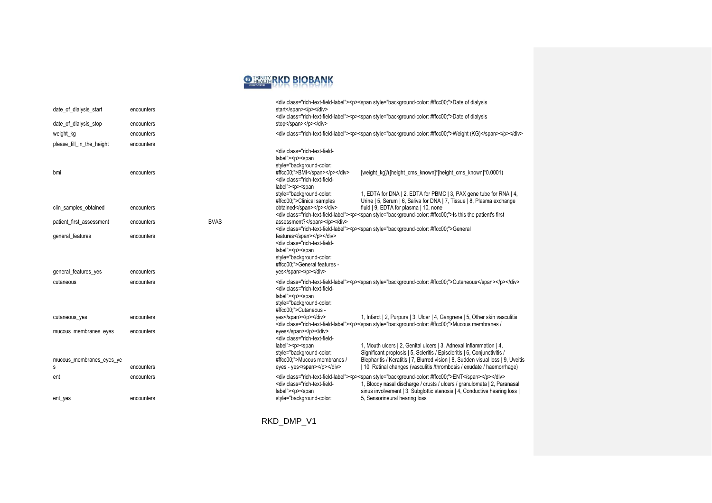

| date_of_dialysis_start        | encounters |             | start                                                                                                                                                                                                                                                                                                                                                  | <div class="rich-text-field-label"><p><span style="background-color: #ffcc00;">Date of dialysis<br/><div class="rich-text-field-label"><p><span style="background-color: #ffcc00;">Date of dialysis</span></p></div></span></p></div>                      |
|-------------------------------|------------|-------------|--------------------------------------------------------------------------------------------------------------------------------------------------------------------------------------------------------------------------------------------------------------------------------------------------------------------------------------------------------|------------------------------------------------------------------------------------------------------------------------------------------------------------------------------------------------------------------------------------------------------------|
| date_of_dialysis_stop         | encounters |             | stop                                                                                                                                                                                                                                                                                                                                                   |                                                                                                                                                                                                                                                            |
| weight kg                     | encounters |             |                                                                                                                                                                                                                                                                                                                                                        | <div class="rich-text-field-label"><p><span style="background-color: #ffcc00;">Weight (KG)</span></p></div>                                                                                                                                                |
| please_fill_in_the_height     | encounters |             |                                                                                                                                                                                                                                                                                                                                                        |                                                                                                                                                                                                                                                            |
| bmi                           | encounters |             | <div class="rich-text-field-&lt;br&gt;label"><p><span<br>style="background-color:<br/>#ffcc00;"&gt;BMI</span<br></p></div><br><div class="rich-text-field-&lt;br&gt;label"><p><span<br>style="background-color:</span<br></p></div>                                                                                                                    | [weight_kg]/([height_cms_known]*[height_cms_known]*0.0001)<br>1, EDTA for DNA   2, EDTA for PBMC   3, PAX gene tube for RNA   4,                                                                                                                           |
| clin samples obtained         | encounters |             | #ffcc00;">Clinical samples<br>obtained                                                                                                                                                                                                                                                                                                                 | Urine   5, Serum   6, Saliva for DNA   7, Tissue   8, Plasma exchange<br>fluid   9, EDTA for plasma   10, none<br><div class="rich-text-field-label"><p><span style="background-color: #ffcc00;">ls this the patient's first</span></p></div>              |
| patient first assessment      | encounters | <b>BVAS</b> | assessment?                                                                                                                                                                                                                                                                                                                                            | <div class="rich-text-field-label"><p><span style="background-color: #ffcc00;">General</span></p></div>                                                                                                                                                    |
| general_features              | encounters |             | features<br><div class="rich-text-field-&lt;br&gt;label"><p><span<br>style="background-color:<br/>#ffcc00;"&gt;General features -</span<br></p></div>                                                                                                                                                                                                  |                                                                                                                                                                                                                                                            |
| general_features_yes          | encounters |             | yes                                                                                                                                                                                                                                                                                                                                                    |                                                                                                                                                                                                                                                            |
| cutaneous                     | encounters |             | <div class="rich-text-field-&lt;br&gt;label"><p><span<br>style="background-color:<br/>#ffcc00;"&gt;Cutaneous -</span<br></p></div>                                                                                                                                                                                                                     | <div class="rich-text-field-label"><p><span style="background-color: #ffcc00;">Cutaneous</span></p></div>                                                                                                                                                  |
| cutaneous_yes                 | encounters |             | yes                                                                                                                                                                                                                                                                                                                                                    | 1, Infarct   2, Purpura   3, Ulcer   4, Gangrene   5, Other skin vasculitis<br><div class="rich-text-field-label"><p><span style="background-color: #ffcc00;">Mucous membranes /</span></p></div>                                                          |
| mucous_membranes_eyes         | encounters |             | eyes<br><div class="rich-text-field-&lt;br&gt;label"><p><span<br>style="background-color:</span<br></p></div>                                                                                                                                                                                                                                          | 1, Mouth ulcers   2, Genital ulcers   3, Adnexal inflammation   4,<br>Significant proptosis   5, Scleritis / Episcleritis   6, Conjunctivitis /                                                                                                            |
| mucous_membranes_eyes_ye<br>s | encounters |             | #ffcc00;">Mucous membranes /<br>eyes - yes                                                                                                                                                                                                                                                                                                             | Blepharitis / Keratitis   7, Blurred vision   8, Sudden visual loss   9, Uveitis<br>10, Retinal changes (vasculitis /thrombosis / exudate / haemorrhage)                                                                                                   |
| ent                           | encounters |             | <div class="rich-text-field-&lt;br&gt;label"><p><span< td=""><td><div class="rich-text-field-label"><p><span style="background-color: #ffcc00;">ENT</span></p></div><br/>1, Bloody nasal discharge / crusts / ulcers / granulomata   2, Paranasal<br/>sinus involvement   3, Subglottic stenosis   4, Conductive hearing loss  </td></span<></p></div> | <div class="rich-text-field-label"><p><span style="background-color: #ffcc00;">ENT</span></p></div><br>1, Bloody nasal discharge / crusts / ulcers / granulomata   2, Paranasal<br>sinus involvement   3, Subglottic stenosis   4, Conductive hearing loss |
| ent_yes                       | encounters |             | style="background-color:                                                                                                                                                                                                                                                                                                                               | 5. Sensorineural hearing loss                                                                                                                                                                                                                              |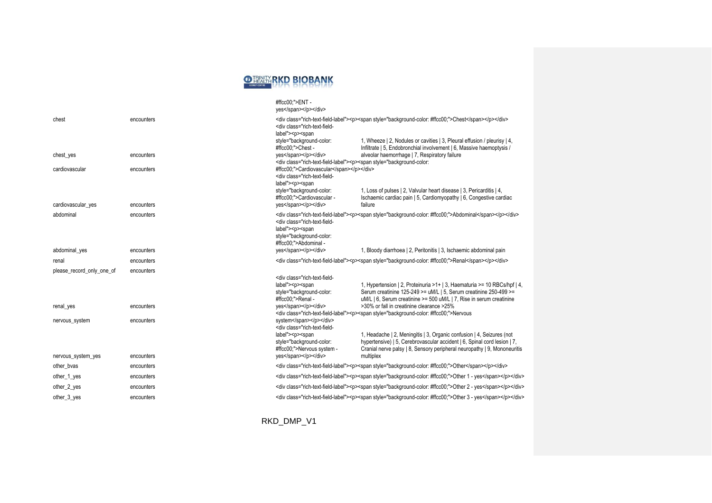

|                           |            | #ffcc00:">ENT -<br>yes                                                                                                                                                                                                                                                                                                                                                                                                                                                                                                                                                                                         |                                                                                                                                                                                                                       |
|---------------------------|------------|----------------------------------------------------------------------------------------------------------------------------------------------------------------------------------------------------------------------------------------------------------------------------------------------------------------------------------------------------------------------------------------------------------------------------------------------------------------------------------------------------------------------------------------------------------------------------------------------------------------|-----------------------------------------------------------------------------------------------------------------------------------------------------------------------------------------------------------------------|
| chest                     | encounters | <div class="rich-text-field-&lt;br&gt;label"><p><span< td=""><td><div class="rich-text-field-label"><p><span style="background-color: #ffcc00;">Chest</span></p></div></td></span<></p></div>                                                                                                                                                                                                                                                                                                                                                                                                                  | <div class="rich-text-field-label"><p><span style="background-color: #ffcc00;">Chest</span></p></div>                                                                                                                 |
| chest_yes                 | encounters | style="background-color:<br>#ffcc00;">Chest-<br>yes<br><div class="rich-text-field-label"><p><span style="background-color:&lt;/td&gt;&lt;td&gt;1, Wheeze   2, Nodules or cavities   3, Pleural effusion / pleurisy   4,&lt;br&gt;Infiltrate   5, Endobronchial involvement   6, Massive haemoptysis /&lt;br&gt;alveolar haemorrhage   7, Respiratory failure&lt;/td&gt;&lt;/tr&gt;&lt;tr&gt;&lt;td&gt;cardiovascular&lt;/td&gt;&lt;td&gt;encounters&lt;/td&gt;&lt;td&gt;#ffcc00;">Cardiovascular</span></p></div><br><div class="rich-text-field-&lt;br&gt;label"><p><span< td=""><td></td></span<></p></div> |                                                                                                                                                                                                                       |
| cardiovascular_yes        | encounters | style="background-color:<br>#ffcc00;">Cardiovascular -<br>yes                                                                                                                                                                                                                                                                                                                                                                                                                                                                                                                                                  | 1, Loss of pulses   2, Valvular heart disease   3, Pericarditis   4,<br>Ischaemic cardiac pain   5, Cardiomyopathy   6, Congestive cardiac<br>failure                                                                 |
| abdominal                 | encounters | <div class="rich-text-field-&lt;br&gt;label"><p><span<br>style="background-color:<br/>#ffcc00;"&gt;Abdominal -</span<br></p></div>                                                                                                                                                                                                                                                                                                                                                                                                                                                                             | <div class="rich-text-field-label"><p><span style="background-color: #ffcc00;">Abdominal</span></p>&gt;</div>                                                                                                         |
| abdominal yes             | encounters | yes                                                                                                                                                                                                                                                                                                                                                                                                                                                                                                                                                                                                            | 1, Bloody diarrhoea   2, Peritonitis   3, Ischaemic abdominal pain                                                                                                                                                    |
| renal                     | encounters |                                                                                                                                                                                                                                                                                                                                                                                                                                                                                                                                                                                                                | <div class="rich-text-field-label"><p><span style="background-color: #ffcc00;">Renal</span></p></div>                                                                                                                 |
| please record only one of | encounters |                                                                                                                                                                                                                                                                                                                                                                                                                                                                                                                                                                                                                |                                                                                                                                                                                                                       |
|                           |            | <div class="rich-text-field-&lt;br&gt;label"><p><span<br>style="background-color:<br/>#ffcc00:"&gt;Renal -</span<br></p></div>                                                                                                                                                                                                                                                                                                                                                                                                                                                                                 | 1. Hypertension   2. Proteinuria >1+   3. Haematuria >= 10 RBCs/hpf   4.<br>Serum creatinine 125-249 >= uM/L   5, Serum creatinine 250-499 >=<br>uM/L   6, Serum creatinine >= 500 uM/L   7, Rise in serum creatinine |
| renal_yes                 | encounters | yes                                                                                                                                                                                                                                                                                                                                                                                                                                                                                                                                                                                                            | >30% or fall in creatinine clearance >25%<br><div class="rich-text-field-label"><p><span style="background-color: #ffcc00;">Nervous</span></p></div>                                                                  |
| nervous_system            | encounters | system<br><div class="rich-text-field-&lt;br&gt;label"><p><span< td=""><td>1, Headache   2, Meningitis   3, Organic confusion   4, Seizures (not</td></span<></p></div>                                                                                                                                                                                                                                                                                                                                                                                                                                        | 1, Headache   2, Meningitis   3, Organic confusion   4, Seizures (not                                                                                                                                                 |
|                           |            | style="background-color:<br>#ffcc00;">Nervous system -                                                                                                                                                                                                                                                                                                                                                                                                                                                                                                                                                         | hypertensive)   5, Cerebrovascular accident   6, Spinal cord lesion   7,<br>Cranial nerve palsy   8, Sensory peripheral neuropathy   9, Mononeuritis                                                                  |
| nervous_system_yes        | encounters | ves                                                                                                                                                                                                                                                                                                                                                                                                                                                                                                                                                                                                            | multiplex                                                                                                                                                                                                             |
| other bvas                | encounters |                                                                                                                                                                                                                                                                                                                                                                                                                                                                                                                                                                                                                | <div class="rich-text-field-label"><p><span style="background-color: #ffcc00;">Other</span></p></div>                                                                                                                 |
| other_1_yes               | encounters |                                                                                                                                                                                                                                                                                                                                                                                                                                                                                                                                                                                                                | <div class="rich-text-field-label"><p><span style="background-color: #ffcc00;">Other 1 - yes</span></p></div>                                                                                                         |
| other_2_yes               | encounters |                                                                                                                                                                                                                                                                                                                                                                                                                                                                                                                                                                                                                | <div class="rich-text-field-label"><p><span style="background-color: #ffcc00;">Other 2 - yes</span></p></div>                                                                                                         |
| other_3_yes               | encounters |                                                                                                                                                                                                                                                                                                                                                                                                                                                                                                                                                                                                                | <div class="rich-text-field-label"><p><span style="background-color: #ffcc00;">Other 3 - yes</span></p></div>                                                                                                         |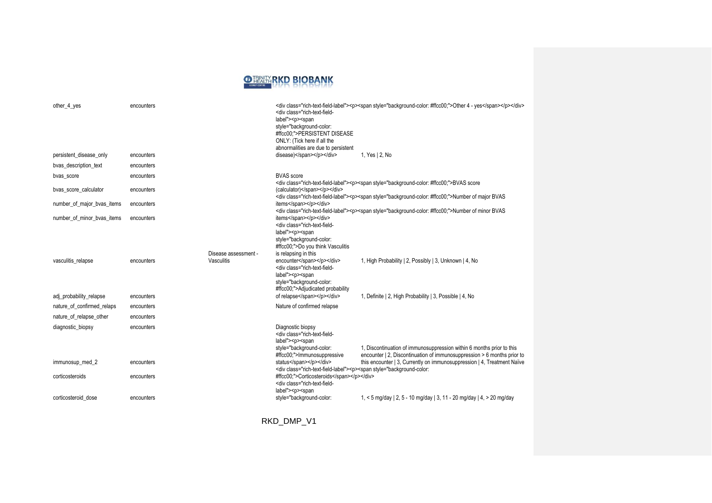

| other_4_yes                | encounters |                      | <div class="rich-text-field-&lt;br&gt;label"><p><span<br>style="background-color:<br/>#ffcc00;"&gt;PERSISTENT DISEASE<br/>ONLY: (Tick here if all the<br/>abnormalities are due to persistent</span<br></p></div>                                                                                                                                                                                                                                  | <div class="rich-text-field-label"><p><span style="background-color: #ffcc00;">Other 4 - yes</span></p></div>                                                                                                                       |
|----------------------------|------------|----------------------|----------------------------------------------------------------------------------------------------------------------------------------------------------------------------------------------------------------------------------------------------------------------------------------------------------------------------------------------------------------------------------------------------------------------------------------------------|-------------------------------------------------------------------------------------------------------------------------------------------------------------------------------------------------------------------------------------|
| persistent_disease_only    | encounters |                      | disease)                                                                                                                                                                                                                                                                                                                                                                                                                                           | 1, Yes   2, No                                                                                                                                                                                                                      |
| bvas_description_text      | encounters |                      |                                                                                                                                                                                                                                                                                                                                                                                                                                                    |                                                                                                                                                                                                                                     |
| bvas_score                 | encounters |                      | <b>BVAS</b> score                                                                                                                                                                                                                                                                                                                                                                                                                                  |                                                                                                                                                                                                                                     |
| bvas_score_calculator      | encounters |                      | (calculator)                                                                                                                                                                                                                                                                                                                                                                                                                                       | <div class="rich-text-field-label"><p><span style="background-color: #ffcc00;">BVAS score<br/><div class="rich-text-field-label"><p><span style="background-color: #ffcc00;">Number of major BVAS</span></p></div></span></p></div> |
| number_of_major_bvas_items | encounters |                      | items                                                                                                                                                                                                                                                                                                                                                                                                                                              | <div class="rich-text-field-label"><p><span style="background-color: #ffcc00;">Number of minor BVAS</span></p></div>                                                                                                                |
| number of minor bvas items | encounters | Disease assessment - | items<br><div class="rich-text-field-&lt;br&gt;label"><p><span<br>style="background-color:<br/>#ffcc00;"&gt;Do you think Vasculitis<br/>is relapsing in this</span<br></p></div>                                                                                                                                                                                                                                                                   |                                                                                                                                                                                                                                     |
| vasculitis_relapse         | encounters | Vasculitis           | encounter<br><div class="rich-text-field-&lt;br&gt;label"><p><span<br>style="background-color:<br/>#ffcc00;"&gt;Adjudicated probability</span<br></p></div>                                                                                                                                                                                                                                                                                        | 1, High Probability   2, Possibly   3, Unknown   4, No                                                                                                                                                                              |
| adj probability relapse    | encounters |                      | of relapse                                                                                                                                                                                                                                                                                                                                                                                                                                         | 1, Definite   2, High Probability   3, Possible   4, No                                                                                                                                                                             |
| nature of confirmed relaps | encounters |                      | Nature of confirmed relapse                                                                                                                                                                                                                                                                                                                                                                                                                        |                                                                                                                                                                                                                                     |
| nature of relapse other    | encounters |                      |                                                                                                                                                                                                                                                                                                                                                                                                                                                    |                                                                                                                                                                                                                                     |
| diagnostic biopsy          | encounters |                      | Diagnostic biopsy<br><div class="rich-text-field-&lt;br&gt;label"><p><span<br>style="background-color:<br/>#ffcc00;"&gt;Immunosuppressive</span<br></p></div>                                                                                                                                                                                                                                                                                      | 1, Discontinuation of immunosuppression within 6 months prior to this<br>encounter   2, Discontinuation of immunosuppression > 6 months prior to                                                                                    |
| immunosup med 2            | encounters |                      | status<br><div class="rich-text-field-label"><p><span style="background-color:&lt;/td&gt;&lt;td&gt;this encounter   3, Currently on immunosuppression   4, Treatment Naïve&lt;/td&gt;&lt;/tr&gt;&lt;tr&gt;&lt;td&gt;corticosteroids&lt;/td&gt;&lt;td&gt;encounters&lt;/td&gt;&lt;td&gt;&lt;/td&gt;&lt;td&gt;#ffcc00;">Corticosteroids</span></p></div><br><div class="rich-text-field-&lt;br&gt;label"><p><span< td=""><td></td></span<></p></div> |                                                                                                                                                                                                                                     |
| corticosteroid dose        | encounters |                      | style="background-color:                                                                                                                                                                                                                                                                                                                                                                                                                           | 1, < 5 mg/day   2, 5 - 10 mg/day   3, 11 - 20 mg/day   4, > 20 mg/day                                                                                                                                                               |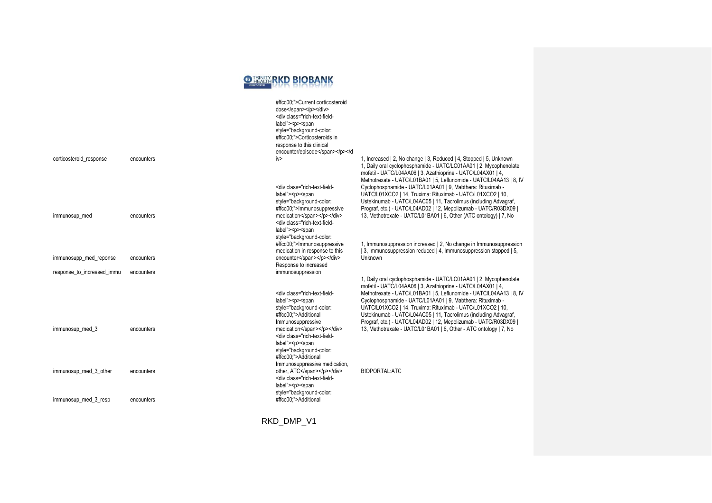

|                            |            | #ffcc00;">Current corticosteroid<br>dose<br><div class="rich-text-field-&lt;br&gt;label"><p><span<br>style="background-color:<br/>#ffcc00;"&gt;Corticosteroids in<br/>response to this clinical<br/>encounter/episode</span<br></p><th></th></div>                                                                                                                                                                                                                                                                                                                                           |                                                                                                                                                                                                                                                                                                                                                                                                          |
|----------------------------|------------|----------------------------------------------------------------------------------------------------------------------------------------------------------------------------------------------------------------------------------------------------------------------------------------------------------------------------------------------------------------------------------------------------------------------------------------------------------------------------------------------------------------------------------------------------------------------------------------------|----------------------------------------------------------------------------------------------------------------------------------------------------------------------------------------------------------------------------------------------------------------------------------------------------------------------------------------------------------------------------------------------------------|
| corticosteroid response    | encounters | iv>                                                                                                                                                                                                                                                                                                                                                                                                                                                                                                                                                                                          | 1, Increased   2, No change   3, Reduced   4, Stopped   5, Unknown<br>1, Daily oral cyclophosphamide - UATC/LC01AA01   2, Mycophenolate<br>mofetil - UATC/L04AA06   3, Azathioprine - UATC/L04AX01   4,<br>Methotrexate - UATC/L01BA01   5, Leflunomide - UATC/L04AA13   8, IV                                                                                                                           |
| immunosup med              | encounters | <div class="rich-text-field-&lt;br&gt;label"><p><span<br>style="background-color:<br/>#ffcc00;"&gt;Immunosuppressive<br/>medication</span<br></p></div><br><div class="rich-text-field-&lt;br&gt;label"><p><span< td=""><td>Cyclophosphamide - UATC/L01AA01   9, Mabthera: Rituximab -<br/>UATC/L01XCO2   14, Truxima: Rituximab - UATC/L01XCO2   10,<br/>Ustekinumab - UATC/L04AC05   11, Tacrolimus (including Advagraf,<br/>Prograf, etc.) - UATC/L04AD02   12, Mepolizumab - UATC/R03DX09  <br/>13, Methotrexate - UATC/L01BA01   6, Other (ATC ontology)   7, No</td></span<></p></div> | Cyclophosphamide - UATC/L01AA01   9, Mabthera: Rituximab -<br>UATC/L01XCO2   14, Truxima: Rituximab - UATC/L01XCO2   10,<br>Ustekinumab - UATC/L04AC05   11, Tacrolimus (including Advagraf,<br>Prograf, etc.) - UATC/L04AD02   12, Mepolizumab - UATC/R03DX09  <br>13, Methotrexate - UATC/L01BA01   6, Other (ATC ontology)   7, No                                                                    |
| immunosupp_med_reponse     | encounters | style="background-color:<br>#ffcc00:">Immunosuppressive<br>medication in response to this<br>encounter<br>Response to increased                                                                                                                                                                                                                                                                                                                                                                                                                                                              | 1, Immunosuppression increased   2, No change in Immunosuppression<br>  3, Immunosuppression reduced   4, Immunosuppression stopped   5,<br><b>Unknown</b>                                                                                                                                                                                                                                               |
| response to increased immu | encounters | immunosuppression<br><div class="rich-text-field-&lt;br&gt;label"><p><span<br>style="background-color:<br/>#ffcc00:"&gt;Additional</span<br></p></div>                                                                                                                                                                                                                                                                                                                                                                                                                                       | 1. Daily oral cyclophosphamide - UATC/LC01AA01   2. Mycophenolate<br>mofetil - UATC/L04AA06   3, Azathioprine - UATC/L04AX01   4,<br>Methotrexate - UATC/L01BA01   5, Leflunomide - UATC/L04AA13   8, IV<br>Cyclophosphamide - UATC/L01AA01   9, Mabthera: Rituximab -<br>UATC/L01XCO2   14, Truxima: Rituximab - UATC/L01XCO2   10,<br>Ustekinumab - UATC/L04AC05   11, Tacrolimus (including Advagraf, |
| immunosup med 3            | encounters | Immunosuppressive<br>medication<br><div class="rich-text-field-&lt;br&gt;label"><p><span<br>style="background-color:<br/>#ffcc00:"&gt;Additional</span<br></p></div>                                                                                                                                                                                                                                                                                                                                                                                                                         | Prograf, etc.) - UATC/L04AD02   12, Mepolizumab - UATC/R03DX09  <br>13. Methotrexate - UATC/L01BA01   6. Other - ATC ontology   7. No                                                                                                                                                                                                                                                                    |
| immunosup med 3 other      | encounters | Immunosuppressive medication,<br>other, ATC<br><div class="rich-text-field-&lt;br&gt;label"><p><span<br>style="background-color:</span<br></p></div>                                                                                                                                                                                                                                                                                                                                                                                                                                         | <b>BIOPORTAL:ATC</b>                                                                                                                                                                                                                                                                                                                                                                                     |
| immunosup med 3 resp       | encounters | #ffcc00;">Additional                                                                                                                                                                                                                                                                                                                                                                                                                                                                                                                                                                         |                                                                                                                                                                                                                                                                                                                                                                                                          |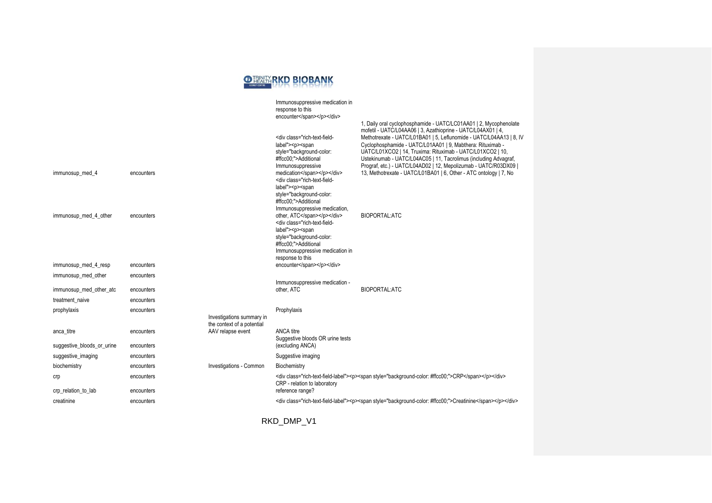

|                            |            |                                                         | Immunosuppressive medication in<br>response to this<br>encounter                                                                                                                                                                                                                                                                                                                                                                                                                                                                                                                                                                                                                                                                                     | 1. Daily oral cyclophosphamide - UATC/LC01AA01   2. Mycophenolate                                                                                                                                                                                                                                                                                                                                                                                                            |
|----------------------------|------------|---------------------------------------------------------|------------------------------------------------------------------------------------------------------------------------------------------------------------------------------------------------------------------------------------------------------------------------------------------------------------------------------------------------------------------------------------------------------------------------------------------------------------------------------------------------------------------------------------------------------------------------------------------------------------------------------------------------------------------------------------------------------------------------------------------------------|------------------------------------------------------------------------------------------------------------------------------------------------------------------------------------------------------------------------------------------------------------------------------------------------------------------------------------------------------------------------------------------------------------------------------------------------------------------------------|
| immunosup med 4            | encounters |                                                         | <div class="rich-text-field-&lt;br&gt;label"><p><span<br>style="background-color:<br/>#ffcc00;"&gt;Additional<br/>Immunosuppressive<br/>medication</span<br></p></div><br><div class="rich-text-field-&lt;br&gt;label"><p><span< td=""><td>mofetil - UATC/L04AA06   3, Azathioprine - UATC/L04AX01   4,<br/>Methotrexate - UATC/L01BA01   5, Leflunomide - UATC/L04AA13   8, IV<br/>Cyclophosphamide - UATC/L01AA01   9, Mabthera: Rituximab -<br/>UATC/L01XCO2   14, Truxima: Rituximab - UATC/L01XCO2   10,<br/>Ustekinumab - UATC/L04AC05   11, Tacrolimus (including Advagraf,<br/>Prograf, etc.) - UATC/L04AD02   12, Mepolizumab - UATC/R03DX09  <br/>13, Methotrexate - UATC/L01BA01   6, Other - ATC ontology   7, No</td></span<></p></div> | mofetil - UATC/L04AA06   3, Azathioprine - UATC/L04AX01   4,<br>Methotrexate - UATC/L01BA01   5, Leflunomide - UATC/L04AA13   8, IV<br>Cyclophosphamide - UATC/L01AA01   9, Mabthera: Rituximab -<br>UATC/L01XCO2   14, Truxima: Rituximab - UATC/L01XCO2   10,<br>Ustekinumab - UATC/L04AC05   11, Tacrolimus (including Advagraf,<br>Prograf, etc.) - UATC/L04AD02   12, Mepolizumab - UATC/R03DX09  <br>13, Methotrexate - UATC/L01BA01   6, Other - ATC ontology   7, No |
|                            |            |                                                         | style="background-color:<br>#ffcc00;">Additional<br>Immunosuppressive medication,                                                                                                                                                                                                                                                                                                                                                                                                                                                                                                                                                                                                                                                                    |                                                                                                                                                                                                                                                                                                                                                                                                                                                                              |
| immunosup_med_4_other      | encounters |                                                         | other, ATC<br><div class="rich-text-field-&lt;br&gt;label"><p><span<br>style="background-color:<br/>#ffcc00:"&gt;Additional<br/>Immunosuppressive medication in</span<br></p></div>                                                                                                                                                                                                                                                                                                                                                                                                                                                                                                                                                                  | BIOPORTAL: ATC                                                                                                                                                                                                                                                                                                                                                                                                                                                               |
| immunosup med 4 resp       | encounters |                                                         | response to this<br>encounter                                                                                                                                                                                                                                                                                                                                                                                                                                                                                                                                                                                                                                                                                                                        |                                                                                                                                                                                                                                                                                                                                                                                                                                                                              |
| immunosup_med_other        | encounters |                                                         |                                                                                                                                                                                                                                                                                                                                                                                                                                                                                                                                                                                                                                                                                                                                                      |                                                                                                                                                                                                                                                                                                                                                                                                                                                                              |
| immunosup med other atc    | encounters |                                                         | Immunosuppressive medication -<br>other, ATC                                                                                                                                                                                                                                                                                                                                                                                                                                                                                                                                                                                                                                                                                                         | <b>BIOPORTAL:ATC</b>                                                                                                                                                                                                                                                                                                                                                                                                                                                         |
| treatment naive            | encounters |                                                         |                                                                                                                                                                                                                                                                                                                                                                                                                                                                                                                                                                                                                                                                                                                                                      |                                                                                                                                                                                                                                                                                                                                                                                                                                                                              |
| prophylaxis                | encounters | Investigations summary in<br>the context of a potential | Prophylaxis                                                                                                                                                                                                                                                                                                                                                                                                                                                                                                                                                                                                                                                                                                                                          |                                                                                                                                                                                                                                                                                                                                                                                                                                                                              |
| anca_titre                 | encounters | AAV relapse event                                       | <b>ANCA titre</b><br>Suggestive bloods OR urine tests                                                                                                                                                                                                                                                                                                                                                                                                                                                                                                                                                                                                                                                                                                |                                                                                                                                                                                                                                                                                                                                                                                                                                                                              |
| suggestive_bloods_or_urine | encounters |                                                         | (excluding ANCA)                                                                                                                                                                                                                                                                                                                                                                                                                                                                                                                                                                                                                                                                                                                                     |                                                                                                                                                                                                                                                                                                                                                                                                                                                                              |
| suggestive_imaging         | encounters |                                                         | Suggestive imaging                                                                                                                                                                                                                                                                                                                                                                                                                                                                                                                                                                                                                                                                                                                                   |                                                                                                                                                                                                                                                                                                                                                                                                                                                                              |
| biochemistry               | encounters | Investigations - Common                                 | Biochemistry                                                                                                                                                                                                                                                                                                                                                                                                                                                                                                                                                                                                                                                                                                                                         |                                                                                                                                                                                                                                                                                                                                                                                                                                                                              |
| crp                        | encounters |                                                         | CRP - relation to laboratory                                                                                                                                                                                                                                                                                                                                                                                                                                                                                                                                                                                                                                                                                                                         | <div class="rich-text-field-label"><p><span style="background-color: #ffcc00;">CRP</span></p></div>                                                                                                                                                                                                                                                                                                                                                                          |
| crp_relation_to_lab        | encounters |                                                         | reference range?                                                                                                                                                                                                                                                                                                                                                                                                                                                                                                                                                                                                                                                                                                                                     |                                                                                                                                                                                                                                                                                                                                                                                                                                                                              |
| creatinine                 | encounters |                                                         |                                                                                                                                                                                                                                                                                                                                                                                                                                                                                                                                                                                                                                                                                                                                                      | <div class="rich-text-field-label"><p><span style="background-color: #ffcc00;">Creatinine</span></p></div>                                                                                                                                                                                                                                                                                                                                                                   |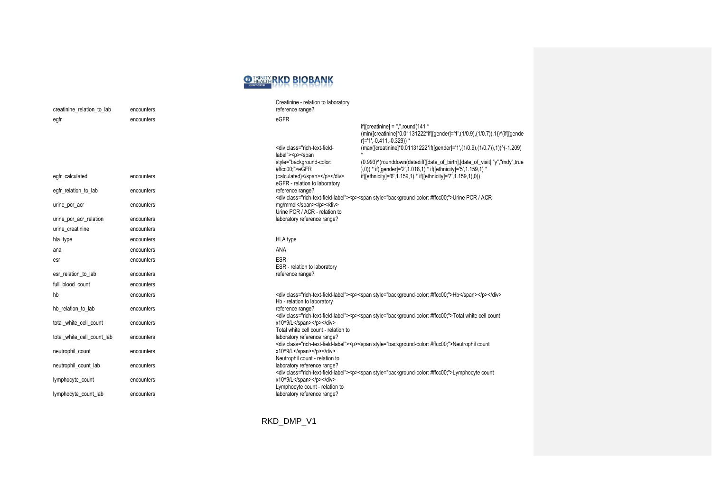

| creatinine relation to lab | encounters | Creatinine - relation to laboratory<br>reference range?                                                                                                                                                                                                                                                                                                                                                                                                                                                              |
|----------------------------|------------|----------------------------------------------------------------------------------------------------------------------------------------------------------------------------------------------------------------------------------------------------------------------------------------------------------------------------------------------------------------------------------------------------------------------------------------------------------------------------------------------------------------------|
| egfr                       | encounters | eGFR                                                                                                                                                                                                                                                                                                                                                                                                                                                                                                                 |
|                            |            | if( $[creationine] = ", ", round(141 *$<br>(min([creatinine]*0.01131222*if([gender]='1',(1/0.9),(1/0.7)),1))^(if([gende<br>r]='1',-0.411,-0.329)) *<br>(max([creatinine]*0.01131222*if([gender]='1',(1/0.9),(1/0.7)),1))^(-1.209)<br><div class="rich-text-field-&lt;br&gt;label"><p><span<br>style="background-color:<br/>(0.993)^(rounddown(datediff([date_of_birth],[date_of_visit],"y","mdy",true<br/>#ffcc00;"&gt;eGFR<br/>),0)) * if([gender]='2',1.018,1) * if([ethnicity]='5',1.159,1) *</span<br></p></div> |
| egfr_calculated            | encounters | if([ethnicity]='6',1.159,1) * if([ethnicity]='7',1.159,1),0))<br>(calculated)<br>eGFR - relation to laboratory                                                                                                                                                                                                                                                                                                                                                                                                       |
| egfr_relation_to_lab       | encounters | reference range?                                                                                                                                                                                                                                                                                                                                                                                                                                                                                                     |
| urine_pcr_acr              | encounters | <div class="rich-text-field-label"><p><span style="background-color: #ffcc00;">Urine PCR / ACR<br/>mg/mmol</span></p></div><br>Urine PCR / ACR - relation to                                                                                                                                                                                                                                                                                                                                                         |
| urine_pcr_acr_relation     | encounters | laboratory reference range?                                                                                                                                                                                                                                                                                                                                                                                                                                                                                          |
| urine_creatinine           | encounters |                                                                                                                                                                                                                                                                                                                                                                                                                                                                                                                      |
| hla_type                   | encounters | <b>HLA</b> type                                                                                                                                                                                                                                                                                                                                                                                                                                                                                                      |
| ana                        | encounters | <b>ANA</b>                                                                                                                                                                                                                                                                                                                                                                                                                                                                                                           |
| esr                        | encounters | <b>ESR</b><br>ESR - relation to laboratory                                                                                                                                                                                                                                                                                                                                                                                                                                                                           |
| esr_relation_to_lab        | encounters | reference range?                                                                                                                                                                                                                                                                                                                                                                                                                                                                                                     |
| full blood count           | encounters |                                                                                                                                                                                                                                                                                                                                                                                                                                                                                                                      |
| hb                         | encounters | <div class="rich-text-field-label"><p><span style="background-color: #ffcc00;">Hb</span></p></div><br>Hb - relation to laboratory                                                                                                                                                                                                                                                                                                                                                                                    |
| hb_relation_to_lab         | encounters | reference range?<br><div class="rich-text-field-label"><p><span style="background-color: #ffcc00;">Total white cell count</span></p></div>                                                                                                                                                                                                                                                                                                                                                                           |
| total_white_cell_count     | encounters | x10^9/L<br>Total white cell count - relation to                                                                                                                                                                                                                                                                                                                                                                                                                                                                      |
| total white cell count lab | encounters | laboratory reference range?<br><div class="rich-text-field-label"><p><span style="background-color: #ffcc00;">Neutrophil count</span></p></div>                                                                                                                                                                                                                                                                                                                                                                      |
| neutrophil_count           | encounters | x10^9/L<br>Neutrophil count - relation to                                                                                                                                                                                                                                                                                                                                                                                                                                                                            |
| neutrophil count lab       | encounters | laboratory reference range?<br><div class="rich-text-field-label"><p><span style="background-color: #ffcc00;">Lymphocyte count</span></p></div>                                                                                                                                                                                                                                                                                                                                                                      |
| lymphocyte_count           | encounters | x10^9/L<br>Lymphocyte count - relation to                                                                                                                                                                                                                                                                                                                                                                                                                                                                            |
| lymphocyte_count_lab       | encounters | laboratory reference range?                                                                                                                                                                                                                                                                                                                                                                                                                                                                                          |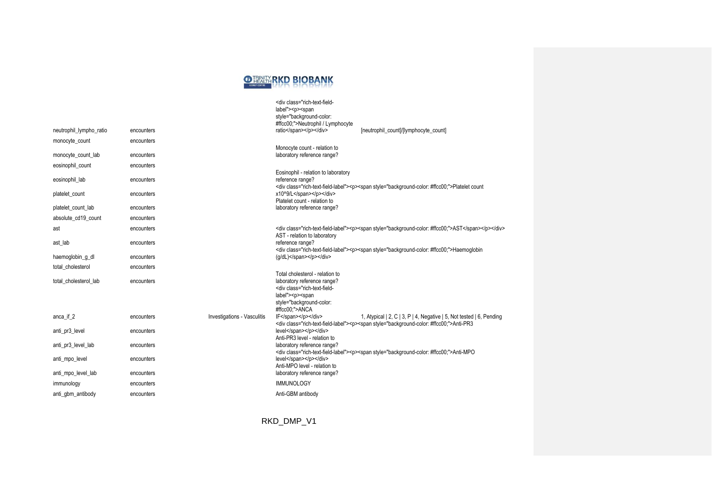

|                         |            |                             | <div class="rich-text-field-&lt;br&gt;label"><p><span<br>style="background-color:<br/>#ffcc00;"&gt;Neutrophil / Lymphocyte</span<br></p></div>                                                |                                                                                                                                                                                  |
|-------------------------|------------|-----------------------------|-----------------------------------------------------------------------------------------------------------------------------------------------------------------------------------------------|----------------------------------------------------------------------------------------------------------------------------------------------------------------------------------|
| neutrophil_lympho_ratio | encounters |                             | ratio                                                                                                                                                                                         | [neutrophil_count]/[lymphocyte_count]                                                                                                                                            |
| monocyte_count          | encounters |                             |                                                                                                                                                                                               |                                                                                                                                                                                  |
| monocyte_count_lab      | encounters |                             | Monocyte count - relation to<br>laboratory reference range?                                                                                                                                   |                                                                                                                                                                                  |
| eosinophil_count        | encounters |                             |                                                                                                                                                                                               |                                                                                                                                                                                  |
| eosinophil_lab          | encounters |                             | Eosinophil - relation to laboratory<br>reference range?                                                                                                                                       | <div class="rich-text-field-label"><p><span style="background-color: #ffcc00;">Platelet count</span></p></div>                                                                   |
| platelet count          | encounters |                             | x10^9/L<br>Platelet count - relation to                                                                                                                                                       |                                                                                                                                                                                  |
| platelet_count_lab      | encounters |                             | laboratory reference range?                                                                                                                                                                   |                                                                                                                                                                                  |
| absolute cd19 count     | encounters |                             |                                                                                                                                                                                               |                                                                                                                                                                                  |
| ast                     | encounters |                             | AST - relation to laboratory                                                                                                                                                                  | <div class="rich-text-field-label"><p><span style="background-color: #ffcc00;">AST</span></p></div>                                                                              |
| ast_lab                 | encounters |                             | reference range?<br><div class="rich-text-field-label"><p><span style="background-color: #ffcc00;">Haemoglobin</span></p></div>                                                               |                                                                                                                                                                                  |
| haemoglobin_g_dl        | encounters |                             | $(q/dL)$                                                                                                                                                                                      |                                                                                                                                                                                  |
| total cholesterol       | encounters |                             |                                                                                                                                                                                               |                                                                                                                                                                                  |
| total cholesterol lab   | encounters |                             | Total cholesterol - relation to<br>laboratory reference range?<br><div class="rich-text-field-&lt;br&gt;label"><p><span<br>style="background-color:<br/>#ffcc00;"&gt;ANCA</span<br></p></div> |                                                                                                                                                                                  |
| anca_if_2               | encounters | Investigations - Vasculitis | IF                                                                                                                                                                                            | 1, Atypical   2, C   3, P   4, Negative   5, Not tested   6, Pending<br><div class="rich-text-field-label"><p><span style="background-color: #ffcc00;">Anti-PR3</span></p></div> |
| anti_pr3_level          | encounters |                             | level<br>Anti-PR3 level - relation to                                                                                                                                                         |                                                                                                                                                                                  |
| anti_pr3_level_lab      | encounters |                             | laboratory reference range?                                                                                                                                                                   | <div class="rich-text-field-label"><p><span style="background-color: #ffcc00;">Anti-MPO</span></p></div>                                                                         |
| anti_mpo_level          | encounters |                             | level<br>Anti-MPO level - relation to                                                                                                                                                         |                                                                                                                                                                                  |
| anti_mpo_level_lab      | encounters |                             | laboratory reference range?                                                                                                                                                                   |                                                                                                                                                                                  |
| immunology              | encounters |                             | <b>IMMUNOLOGY</b>                                                                                                                                                                             |                                                                                                                                                                                  |
| anti_gbm_antibody       | encounters |                             | Anti-GBM antibody                                                                                                                                                                             |                                                                                                                                                                                  |
|                         |            |                             |                                                                                                                                                                                               |                                                                                                                                                                                  |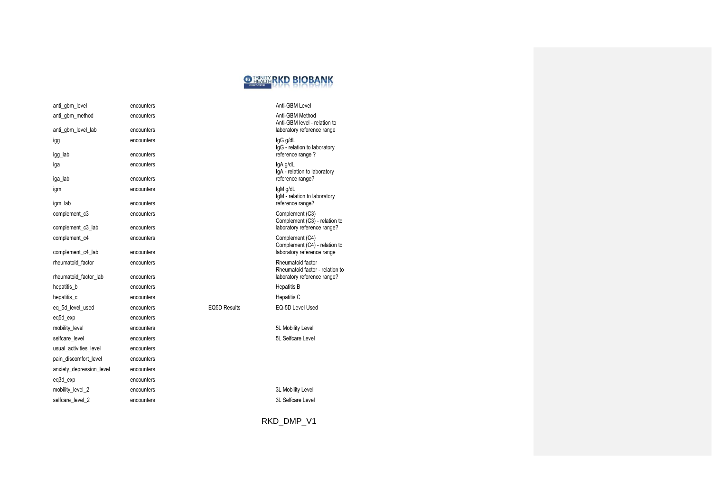

| anti_gbm_level                        | encounters               |                     | Anti-GBM Level                                                                |
|---------------------------------------|--------------------------|---------------------|-------------------------------------------------------------------------------|
| anti_gbm_method<br>anti_gbm_level_lab | encounters<br>encounters |                     | Anti-GBM Method<br>Anti-GBM level - relation to<br>laboratory reference range |
|                                       |                          |                     |                                                                               |
| igg<br>igg_lab                        | encounters<br>encounters |                     | IgG g/dL<br>IgG - relation to laboratory<br>reference range?                  |
| iga                                   | encounters               |                     | lgA g/dL<br>IgA - relation to laboratory                                      |
| iga_lab                               | encounters               |                     | reference range?                                                              |
| igm<br>igm_lab                        | encounters<br>encounters |                     | IgM g/dL<br>IgM - relation to laboratory<br>reference range?                  |
|                                       |                          |                     |                                                                               |
| complement_c3                         | encounters               |                     | Complement (C3)<br>Complement (C3) - relation to                              |
| complement_c3_lab                     | encounters               |                     | laboratory reference range?                                                   |
| complement_c4                         | encounters               |                     | Complement (C4)<br>Complement (C4) - relation to                              |
| complement_c4_lab                     | encounters               |                     | laboratory reference range                                                    |
| rheumatoid factor                     | encounters               |                     | Rheumatoid factor<br>Rheumatoid factor - relation to                          |
| rheumatoid factor lab                 | encounters               |                     | laboratory reference range?                                                   |
| hepatitis b                           | encounters               |                     | <b>Hepatitis B</b>                                                            |
| hepatitis_c                           | encounters               |                     | <b>Hepatitis C</b>                                                            |
| eg 5d level used                      | encounters               | <b>EQ5D Results</b> | EQ-5D Level Used                                                              |
| eq5d_exp                              | encounters               |                     |                                                                               |
| mobility level                        | encounters               |                     | 5L Mobility Level                                                             |
| selfcare level                        | encounters               |                     | 5L Selfcare Level                                                             |
| usual activities level                | encounters               |                     |                                                                               |
| pain discomfort level                 | encounters               |                     |                                                                               |
| anxiety depression level              | encounters               |                     |                                                                               |
| eq3d_exp                              | encounters               |                     |                                                                               |
| mobility level 2                      | encounters               |                     | 3L Mobility Level                                                             |
| selfcare level 2                      | encounters               |                     | 3L Selfcare Level                                                             |
|                                       |                          |                     |                                                                               |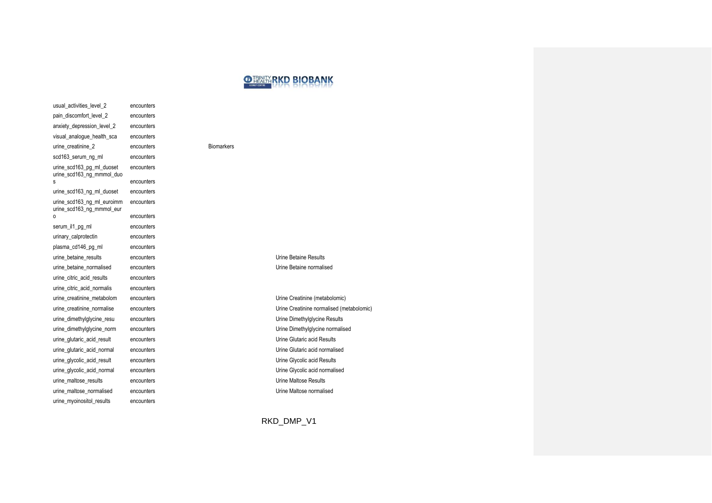

| usual activities level 2                                | encounters |                   |                                           |
|---------------------------------------------------------|------------|-------------------|-------------------------------------------|
| pain_discomfort_level_2                                 | encounters |                   |                                           |
| anxiety_depression_level_2                              | encounters |                   |                                           |
| visual_analogue_health_sca                              | encounters |                   |                                           |
| urine creatinine 2                                      | encounters | <b>Biomarkers</b> |                                           |
| scd163_serum_ng_ml                                      | encounters |                   |                                           |
| urine_scd163_pg_ml_duoset<br>urine_scd163_ng_mmmol_duo  | encounters |                   |                                           |
| s                                                       | encounters |                   |                                           |
| urine scd163 ng ml duoset                               | encounters |                   |                                           |
| urine_scd163_ng_ml_euroimm<br>urine_scd163_ng_mmmol_eur | encounters |                   |                                           |
| 0                                                       | encounters |                   |                                           |
| serum_il1_pg_ml                                         | encounters |                   |                                           |
| urinary calprotectin                                    | encounters |                   |                                           |
| plasma_cd146_pg_ml                                      | encounters |                   |                                           |
| urine_betaine_results                                   | encounters |                   | <b>Urine Betaine Results</b>              |
| urine betaine normalised                                | encounters |                   | Urine Betaine normalised                  |
| urine citric acid results                               | encounters |                   |                                           |
| urine_citric_acid_normalis                              | encounters |                   |                                           |
| urine creatinine metabolom                              | encounters |                   | Urine Creatinine (metabolomic)            |
| urine creatinine normalise                              | encounters |                   | Urine Creatinine normalised (metabolomic) |
| urine_dimethylglycine_resu                              | encounters |                   | Urine Dimethylglycine Results             |
| urine_dimethylglycine_norm                              | encounters |                   | Urine Dimethylglycine normalised          |
| urine_glutaric_acid_result                              | encounters |                   | Urine Glutaric acid Results               |
| urine_glutaric_acid_normal                              | encounters |                   | Urine Glutaric acid normalised            |
| urine glycolic acid result                              | encounters |                   | Urine Glycolic acid Results               |
| urine_glycolic_acid_normal                              | encounters |                   | Urine Glycolic acid normalised            |
| urine maltose results                                   | encounters |                   | <b>Urine Maltose Results</b>              |
| urine_maltose_normalised                                | encounters |                   | Urine Maltose normalised                  |
| urine myoinositol results                               | encounters |                   |                                           |
|                                                         |            |                   |                                           |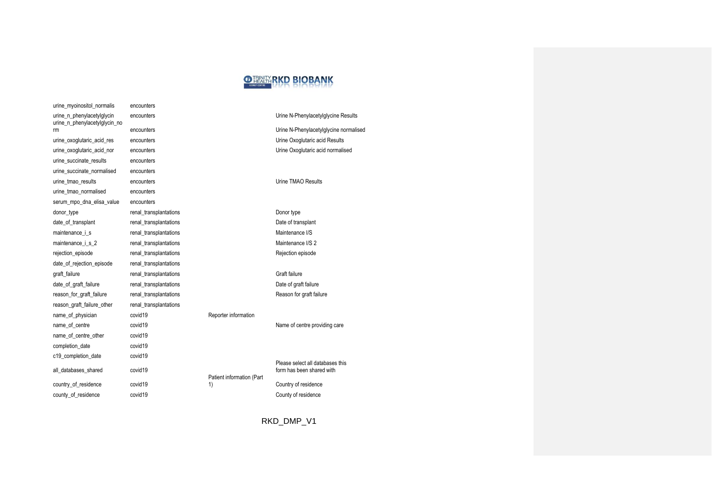

| urine_myoinositol_normalis                                  | encounters             |                           |                                                               |
|-------------------------------------------------------------|------------------------|---------------------------|---------------------------------------------------------------|
| urine_n_phenylacetylglycin<br>urine_n_phenylacetylglycin_no | encounters             |                           | Urine N-Phenylacetylglycine Results                           |
| rm                                                          | encounters             |                           | Urine N-Phenylacetylglycine normalised                        |
| urine_oxoglutaric_acid_res                                  | encounters             |                           | Urine Oxoglutaric acid Results                                |
| urine_oxoglutaric_acid_nor                                  | encounters             |                           | Urine Oxoglutaric acid normalised                             |
| urine_succinate_results                                     | encounters             |                           |                                                               |
| urine succinate normalised                                  | encounters             |                           |                                                               |
| urine tmao results                                          | encounters             |                           | Urine TMAO Results                                            |
| urine_tmao_normalised                                       | encounters             |                           |                                                               |
| serum_mpo_dna_elisa_value                                   | encounters             |                           |                                                               |
| donor type                                                  | renal transplantations |                           | Donor type                                                    |
| date_of_transplant                                          | renal_transplantations |                           | Date of transplant                                            |
| maintenance i s                                             | renal_transplantations |                           | Maintenance I/S                                               |
| maintenance i s 2                                           | renal_transplantations |                           | Maintenance I/S 2                                             |
| rejection_episode                                           | renal transplantations |                           | Rejection episode                                             |
| date_of_rejection_episode                                   | renal_transplantations |                           |                                                               |
| graft_failure                                               | renal_transplantations |                           | Graft failure                                                 |
| date_of_graft_failure                                       | renal transplantations |                           | Date of graft failure                                         |
| reason for graft failure                                    | renal transplantations |                           | Reason for graft failure                                      |
| reason_graft_failure_other                                  | renal_transplantations |                           |                                                               |
| name_of_physician                                           | covid19                | Reporter information      |                                                               |
| name of centre                                              | covid19                |                           | Name of centre providing care                                 |
| name of centre other                                        | covid <sub>19</sub>    |                           |                                                               |
| completion_date                                             | covid19                |                           |                                                               |
| c19 completion date                                         | covid19                |                           |                                                               |
| all databases shared                                        | covid19                | Patient information (Part | Please select all databases this<br>form has been shared with |
| country_of_residence                                        | covid <sub>19</sub>    | 1)                        | Country of residence                                          |
| county_of_residence                                         | covid19                |                           | County of residence                                           |
|                                                             |                        |                           |                                                               |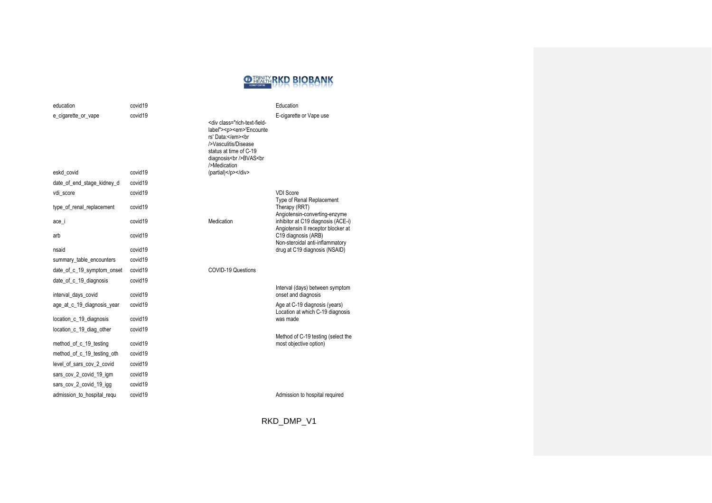

| education                  | covid19 |                                                                                                                                                                                                                          | Education                                                                                    |
|----------------------------|---------|--------------------------------------------------------------------------------------------------------------------------------------------------------------------------------------------------------------------------|----------------------------------------------------------------------------------------------|
| e_cigarette_or_vape        | covid19 | <div class="rich-text-field-&lt;br&gt;label"><p><em>'Encounte<br/>rs' Data:</em><br<br>/&gt;Vasculitis/Disease<br/>status at time of C-19<br/>diagnosis<br/> br /&gt; BVAS<br/> br<br/>/&gt;Medication</br<br></p></div> | E-cigarette or Vape use                                                                      |
| eskd covid                 | covid19 | (partial)                                                                                                                                                                                                                |                                                                                              |
| date_of_end_stage_kidney_d | covid19 |                                                                                                                                                                                                                          |                                                                                              |
| vdi_score                  | covid19 |                                                                                                                                                                                                                          | <b>VDI Score</b>                                                                             |
| type of renal replacement  | covid19 |                                                                                                                                                                                                                          | Type of Renal Replacement<br>Therapy (RRT)<br>Angiotensin-converting-enzyme                  |
| ace_i                      | covid19 | Medication                                                                                                                                                                                                               | inhibitor at C19 diagnosis (ACE-i)                                                           |
| arb                        | covid19 |                                                                                                                                                                                                                          | Angiotensin II receptor blocker at<br>C19 diagnosis (ARB)<br>Non-steroidal anti-inflammatory |
| nsaid                      | covid19 |                                                                                                                                                                                                                          | drug at C19 diagnosis (NSAID)                                                                |
| summary_table_encounters   | covid19 |                                                                                                                                                                                                                          |                                                                                              |
| date_of_c_19_symptom_onset | covid19 | COVID-19 Questions                                                                                                                                                                                                       |                                                                                              |
| date_of_c_19_diagnosis     | covid19 |                                                                                                                                                                                                                          |                                                                                              |
| interval_days_covid        | covid19 |                                                                                                                                                                                                                          | Interval (days) between symptom<br>onset and diagnosis                                       |
| age_at_c_19_diagnosis_year | covid19 |                                                                                                                                                                                                                          | Age at C-19 diagnosis (years)<br>Location at which C-19 diagnosis                            |
| location c 19 diagnosis    | covid19 |                                                                                                                                                                                                                          | was made                                                                                     |
| location_c_19_diag_other   | covid19 |                                                                                                                                                                                                                          |                                                                                              |
| method_of_c_19_testing     | covid19 |                                                                                                                                                                                                                          | Method of C-19 testing (select the<br>most objective option)                                 |
| method_of_c_19_testing_oth | covid19 |                                                                                                                                                                                                                          |                                                                                              |
| level of sars cov 2 covid  | covid19 |                                                                                                                                                                                                                          |                                                                                              |
| sars_cov_2_covid_19_igm    | covid19 |                                                                                                                                                                                                                          |                                                                                              |
| sars_cov_2_covid_19_igg    | covid19 |                                                                                                                                                                                                                          |                                                                                              |
| admission_to_hospital_requ | covid19 |                                                                                                                                                                                                                          | Admission to hospital required                                                               |
|                            |         |                                                                                                                                                                                                                          |                                                                                              |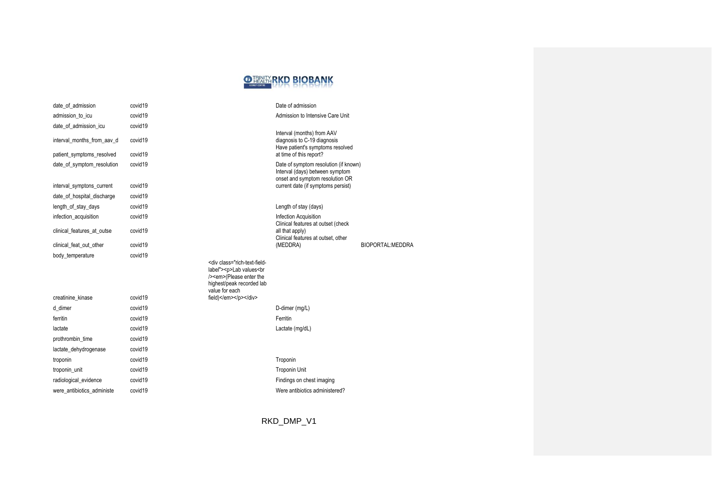

| date_of_admission          | covid19 |                                                                                                                                                                     | Date of admission                                                                                           |                   |
|----------------------------|---------|---------------------------------------------------------------------------------------------------------------------------------------------------------------------|-------------------------------------------------------------------------------------------------------------|-------------------|
| admission_to_icu           | covid19 |                                                                                                                                                                     | Admission to Intensive Care Unit                                                                            |                   |
| date_of_admission_icu      | covid19 |                                                                                                                                                                     |                                                                                                             |                   |
| interval_months_from_aav_d | covid19 |                                                                                                                                                                     | Interval (months) from AAV<br>diagnosis to C-19 diagnosis<br>Have patient's symptoms resolved               |                   |
| patient_symptoms_resolved  | covid19 |                                                                                                                                                                     | at time of this report?                                                                                     |                   |
| date_of_symptom_resolution | covid19 |                                                                                                                                                                     | Date of symptom resolution (if known)<br>Interval (days) between symptom<br>onset and symptom resolution OR |                   |
| interval_symptons_current  | covid19 |                                                                                                                                                                     | current date (if symptoms persist)                                                                          |                   |
| date_of_hospital_discharge | covid19 |                                                                                                                                                                     |                                                                                                             |                   |
| length_of_stay_days        | covid19 |                                                                                                                                                                     | Length of stay (days)                                                                                       |                   |
| infection_acquisition      | covid19 |                                                                                                                                                                     | Infection Acquisition<br>Clinical features at outset (check                                                 |                   |
| clinical features at outse | covid19 |                                                                                                                                                                     | all that apply)<br>Clinical features at outset, other                                                       |                   |
| clinical_feat_out_other    | covid19 |                                                                                                                                                                     | (MEDDRA)                                                                                                    | BIOPORTAL: MEDDRA |
| body_temperature           | covid19 | <div class="rich-text-field-&lt;br&gt;label"><p>Lab values<br<br>/&gt;<em>(Please enter the<br/>highest/peak recorded lab<br/>value for each</em></br<br></p></div> |                                                                                                             |                   |
| creatinine kinase          | covid19 | field)                                                                                                                                                              |                                                                                                             |                   |
| d_dimer                    | covid19 |                                                                                                                                                                     | D-dimer (mg/L)                                                                                              |                   |
| ferritin                   | covid19 |                                                                                                                                                                     | Ferritin                                                                                                    |                   |
| lactate                    | covid19 |                                                                                                                                                                     | Lactate (mg/dL)                                                                                             |                   |
| prothrombin_time           | covid19 |                                                                                                                                                                     |                                                                                                             |                   |
| lactate dehydrogenase      | covid19 |                                                                                                                                                                     |                                                                                                             |                   |
| troponin                   | covid19 |                                                                                                                                                                     | Troponin                                                                                                    |                   |
| troponin_unit              | covid19 |                                                                                                                                                                     | <b>Troponin Unit</b>                                                                                        |                   |
| radiological_evidence      | covid19 |                                                                                                                                                                     | Findings on chest imaging                                                                                   |                   |
| were antibiotics administe | covid19 |                                                                                                                                                                     | Were antibiotics administered?                                                                              |                   |